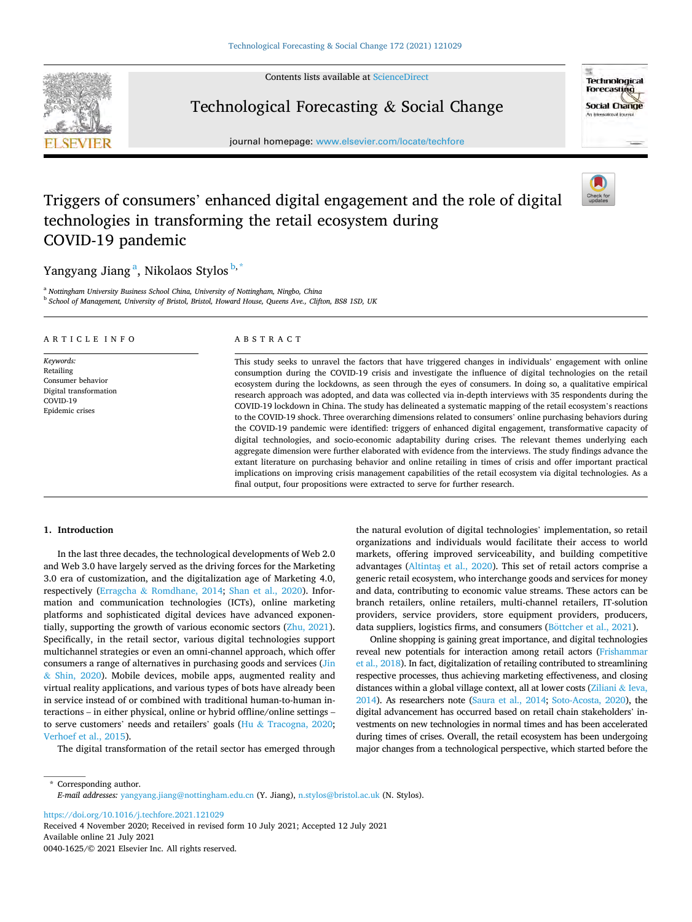Contents lists available at [ScienceDirect](www.sciencedirect.com/science/journal/00401625)



**Technological Forecasting Social Change** An international lourne

## Technological Forecasting & Social Change

journal homepage: [www.elsevier.com/locate/techfore](https://www.elsevier.com/locate/techfore) 

# Triggers of consumers' enhanced digital engagement and the role of digital technologies in transforming the retail ecosystem during COVID-19 pandemic

Yangyang Jiang<sup>a</sup>, Nikolaos Stylos <sup>b,\*</sup>

<sup>a</sup> *Nottingham University Business School China, University of Nottingham, Ningbo, China*  <sup>b</sup> *School of Management, University of Bristol, Bristol, Howard House, Queens Ave., Clifton, BS8 1SD, UK* 

| ARTICLE INFO                                                                                         | ABSTRACT                                                                                                                                                                                                                                                                                                                                                                                                                                                                                                                                                                                                                                                                                                                                                                                                                                                                                                                                                                                                                                                                                                                                                                                                                                                                                                                                                  |
|------------------------------------------------------------------------------------------------------|-----------------------------------------------------------------------------------------------------------------------------------------------------------------------------------------------------------------------------------------------------------------------------------------------------------------------------------------------------------------------------------------------------------------------------------------------------------------------------------------------------------------------------------------------------------------------------------------------------------------------------------------------------------------------------------------------------------------------------------------------------------------------------------------------------------------------------------------------------------------------------------------------------------------------------------------------------------------------------------------------------------------------------------------------------------------------------------------------------------------------------------------------------------------------------------------------------------------------------------------------------------------------------------------------------------------------------------------------------------|
| Keywords:<br>Retailing<br>Consumer behavior<br>Digital transformation<br>COVID-19<br>Epidemic crises | This study seeks to unravel the factors that have triggered changes in individuals' engagement with online<br>consumption during the COVID-19 crisis and investigate the influence of digital technologies on the retail<br>ecosystem during the lockdowns, as seen through the eyes of consumers. In doing so, a qualitative empirical<br>research approach was adopted, and data was collected via in-depth interviews with 35 respondents during the<br>COVID-19 lockdown in China. The study has delineated a systematic mapping of the retail ecosystem's reactions<br>to the COVID-19 shock. Three overarching dimensions related to consumers' online purchasing behaviors during<br>the COVID-19 pandemic were identified: triggers of enhanced digital engagement, transformative capacity of<br>digital technologies, and socio-economic adaptability during crises. The relevant themes underlying each<br>aggregate dimension were further elaborated with evidence from the interviews. The study findings advance the<br>extant literature on purchasing behavior and online retailing in times of crisis and offer important practical<br>implications on improving crisis management capabilities of the retail ecosystem via digital technologies. As a<br>final output, four propositions were extracted to serve for further research. |

### **1. Introduction**

In the last three decades, the technological developments of Web 2.0 and Web 3.0 have largely served as the driving forces for the Marketing 3.0 era of customization, and the digitalization age of Marketing 4.0, respectively (Erragcha & [Romdhane, 2014;](#page-17-0) [Shan et al., 2020](#page-17-0)). Information and communication technologies (ICTs), online marketing platforms and sophisticated digital devices have advanced exponentially, supporting the growth of various economic sectors ([Zhu, 2021](#page-18-0)). Specifically, in the retail sector, various digital technologies support multichannel strategies or even an omni-channel approach, which offer consumers a range of alternatives in purchasing goods and services ([Jin](#page-17-0)  & [Shin, 2020](#page-17-0)). Mobile devices, mobile apps, augmented reality and virtual reality applications, and various types of bots have already been in service instead of or combined with traditional human-to-human interactions – in either physical, online or hybrid offline/online settings – to serve customers' needs and retailers' goals (Hu & [Tracogna, 2020](#page-17-0); [Verhoef et al., 2015\)](#page-17-0).

The digital transformation of the retail sector has emerged through

the natural evolution of digital technologies' implementation, so retail organizations and individuals would facilitate their access to world markets, offering improved serviceability, and building competitive advantages (Altintas et al., 2020). This set of retail actors comprise a generic retail ecosystem, who interchange goods and services for money and data, contributing to economic value streams. These actors can be branch retailers, online retailers, multi-channel retailers, IT-solution providers, service providers, store equipment providers, producers, data suppliers, logistics firms, and consumers ( $B\ddot{o}$ ttcher et al., 2021).

Online shopping is gaining great importance, and digital technologies reveal new potentials for interaction among retail actors [\(Frishammar](#page-17-0)  [et al., 2018\)](#page-17-0). In fact, digitalization of retailing contributed to streamlining respective processes, thus achieving marketing effectiveness, and closing distances within a global village context, all at lower costs ([Ziliani](#page-18-0) & Ieva, [2014](#page-18-0)). As researchers note ([Saura et al., 2014](#page-17-0); [Soto-Acosta, 2020](#page-17-0)), the digital advancement has occurred based on retail chain stakeholders' investments on new technologies in normal times and has been accelerated during times of crises. Overall, the retail ecosystem has been undergoing major changes from a technological perspective, which started before the

\* Corresponding author. *E-mail addresses:* [yangyang.jiang@nottingham.edu.cn](mailto:yangyang.jiang@nottingham.edu.cn) (Y. Jiang), [n.stylos@bristol.ac.uk](mailto:n.stylos@bristol.ac.uk) (N. Stylos).

<https://doi.org/10.1016/j.techfore.2021.121029>

Available online 21 July 2021 0040-1625/© 2021 Elsevier Inc. All rights reserved. Received 4 November 2020; Received in revised form 10 July 2021; Accepted 12 July 2021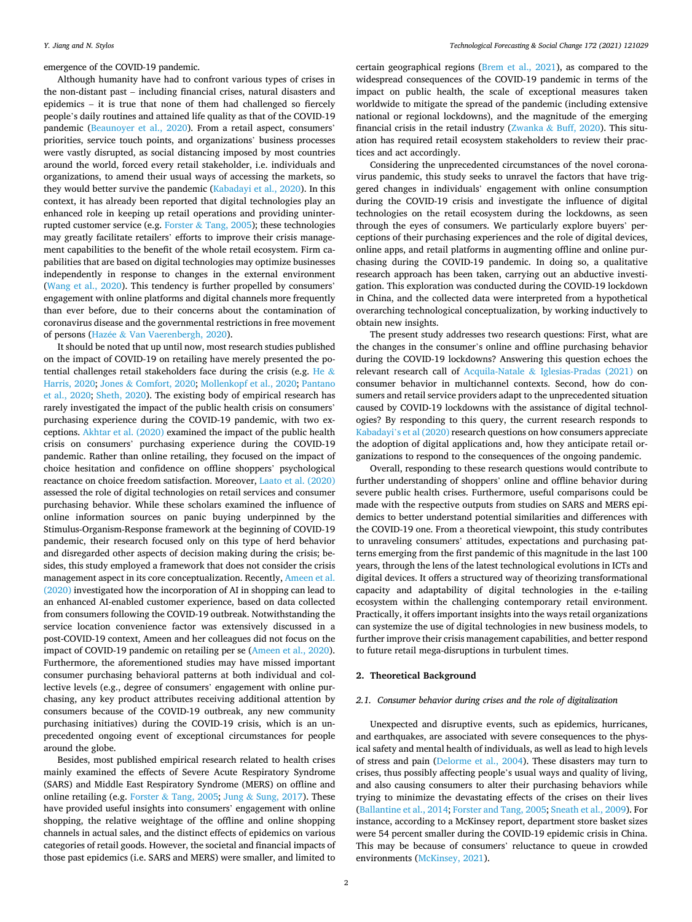emergence of the COVID-19 pandemic.

Although humanity have had to confront various types of crises in the non-distant past – including financial crises, natural disasters and epidemics – it is true that none of them had challenged so fiercely people's daily routines and attained life quality as that of the COVID-19 pandemic [\(Beaunoyer et al., 2020](#page-16-0)). From a retail aspect, consumers' priorities, service touch points, and organizations' business processes were vastly disrupted, as social distancing imposed by most countries around the world, forced every retail stakeholder, i.e. individuals and organizations, to amend their usual ways of accessing the markets, so they would better survive the pandemic ([Kabadayi et al., 2020\)](#page-17-0). In this context, it has already been reported that digital technologies play an enhanced role in keeping up retail operations and providing uninterrupted customer service (e.g. Forster & [Tang, 2005\)](#page-17-0); these technologies may greatly facilitate retailers' efforts to improve their crisis management capabilities to the benefit of the whole retail ecosystem. Firm capabilities that are based on digital technologies may optimize businesses independently in response to changes in the external environment ([Wang et al., 2020\)](#page-18-0). This tendency is further propelled by consumers' engagement with online platforms and digital channels more frequently than ever before, due to their concerns about the contamination of coronavirus disease and the governmental restrictions in free movement of persons (Hazée & [Van Vaerenbergh, 2020](#page-17-0)).

It should be noted that up until now, most research studies published on the impact of COVID-19 on retailing have merely presented the po-tential challenges retail stakeholders face during the crisis (e.g. [He](#page-17-0)  $\&$ [Harris, 2020;](#page-17-0) Jones & [Comfort, 2020](#page-17-0); [Mollenkopf et al., 2020](#page-17-0); [Pantano](#page-17-0)  [et al., 2020](#page-17-0); [Sheth, 2020\)](#page-17-0). The existing body of empirical research has rarely investigated the impact of the public health crisis on consumers' purchasing experience during the COVID-19 pandemic, with two exceptions. [Akhtar et al. \(2020\)](#page-16-0) examined the impact of the public health crisis on consumers' purchasing experience during the COVID-19 pandemic. Rather than online retailing, they focused on the impact of choice hesitation and confidence on offline shoppers' psychological reactance on choice freedom satisfaction. Moreover, [Laato et al. \(2020\)](#page-17-0)  assessed the role of digital technologies on retail services and consumer purchasing behavior. While these scholars examined the influence of online information sources on panic buying underpinned by the Stimulus-Organism-Response framework at the beginning of COVID-19 pandemic, their research focused only on this type of herd behavior and disregarded other aspects of decision making during the crisis; besides, this study employed a framework that does not consider the crisis management aspect in its core conceptualization. Recently, [Ameen et al.](#page-16-0)  [\(2020\)](#page-16-0) investigated how the incorporation of AI in shopping can lead to an enhanced AI-enabled customer experience, based on data collected from consumers following the COVID-19 outbreak. Notwithstanding the service location convenience factor was extensively discussed in a post-COVID-19 context, Ameen and her colleagues did not focus on the impact of COVID-19 pandemic on retailing per se ([Ameen et al., 2020](#page-16-0)). Furthermore, the aforementioned studies may have missed important consumer purchasing behavioral patterns at both individual and collective levels (e.g., degree of consumers' engagement with online purchasing, any key product attributes receiving additional attention by consumers because of the COVID-19 outbreak, any new community purchasing initiatives) during the COVID-19 crisis, which is an unprecedented ongoing event of exceptional circumstances for people around the globe.

Besides, most published empirical research related to health crises mainly examined the effects of Severe Acute Respiratory Syndrome (SARS) and Middle East Respiratory Syndrome (MERS) on offline and online retailing (e.g. Forster & [Tang, 2005;](#page-17-0) Jung & [Sung, 2017\)](#page-17-0). These have provided useful insights into consumers' engagement with online shopping, the relative weightage of the offline and online shopping channels in actual sales, and the distinct effects of epidemics on various categories of retail goods. However, the societal and financial impacts of those past epidemics (i.e. SARS and MERS) were smaller, and limited to

certain geographical regions ([Brem et al., 2021\)](#page-16-0), as compared to the widespread consequences of the COVID-19 pandemic in terms of the impact on public health, the scale of exceptional measures taken worldwide to mitigate the spread of the pandemic (including extensive national or regional lockdowns), and the magnitude of the emerging financial crisis in the retail industry (Zwanka & [Buff, 2020\)](#page-18-0). This situation has required retail ecosystem stakeholders to review their practices and act accordingly.

Considering the unprecedented circumstances of the novel coronavirus pandemic, this study seeks to unravel the factors that have triggered changes in individuals' engagement with online consumption during the COVID-19 crisis and investigate the influence of digital technologies on the retail ecosystem during the lockdowns, as seen through the eyes of consumers. We particularly explore buyers' perceptions of their purchasing experiences and the role of digital devices, online apps, and retail platforms in augmenting offline and online purchasing during the COVID-19 pandemic. In doing so, a qualitative research approach has been taken, carrying out an abductive investigation. This exploration was conducted during the COVID-19 lockdown in China, and the collected data were interpreted from a hypothetical overarching technological conceptualization, by working inductively to obtain new insights.

The present study addresses two research questions: First, what are the changes in the consumer's online and offline purchasing behavior during the COVID-19 lockdowns? Answering this question echoes the relevant research call of Acquila-Natale & [Iglesias-Pradas \(2021\)](#page-16-0) on consumer behavior in multichannel contexts. Second, how do consumers and retail service providers adapt to the unprecedented situation caused by COVID-19 lockdowns with the assistance of digital technologies? By responding to this query, the current research responds to Kabadayi'[s et al \(2020\)](#page-17-0) research questions on how consumers appreciate the adoption of digital applications and, how they anticipate retail organizations to respond to the consequences of the ongoing pandemic.

Overall, responding to these research questions would contribute to further understanding of shoppers' online and offline behavior during severe public health crises. Furthermore, useful comparisons could be made with the respective outputs from studies on SARS and MERS epidemics to better understand potential similarities and differences with the COVID-19 one. From a theoretical viewpoint, this study contributes to unraveling consumers' attitudes, expectations and purchasing patterns emerging from the first pandemic of this magnitude in the last 100 years, through the lens of the latest technological evolutions in ICTs and digital devices. It offers a structured way of theorizing transformational capacity and adaptability of digital technologies in the e-tailing ecosystem within the challenging contemporary retail environment. Practically, it offers important insights into the ways retail organizations can systemize the use of digital technologies in new business models, to further improve their crisis management capabilities, and better respond to future retail mega-disruptions in turbulent times.

#### **2. Theoretical Background**

#### *2.1. Consumer behavior during crises and the role of digitalization*

Unexpected and disruptive events, such as epidemics, hurricanes, and earthquakes, are associated with severe consequences to the physical safety and mental health of individuals, as well as lead to high levels of stress and pain [\(Delorme et al., 2004](#page-17-0)). These disasters may turn to crises, thus possibly affecting people's usual ways and quality of living, and also causing consumers to alter their purchasing behaviors while trying to minimize the devastating effects of the crises on their lives ([Ballantine et al., 2014;](#page-16-0) [Forster and Tang, 2005](#page-17-0); [Sneath et al., 2009\)](#page-17-0). For instance, according to a McKinsey report, department store basket sizes were 54 percent smaller during the COVID-19 epidemic crisis in China. This may be because of consumers' reluctance to queue in crowded environments [\(McKinsey, 2021\)](#page-17-0).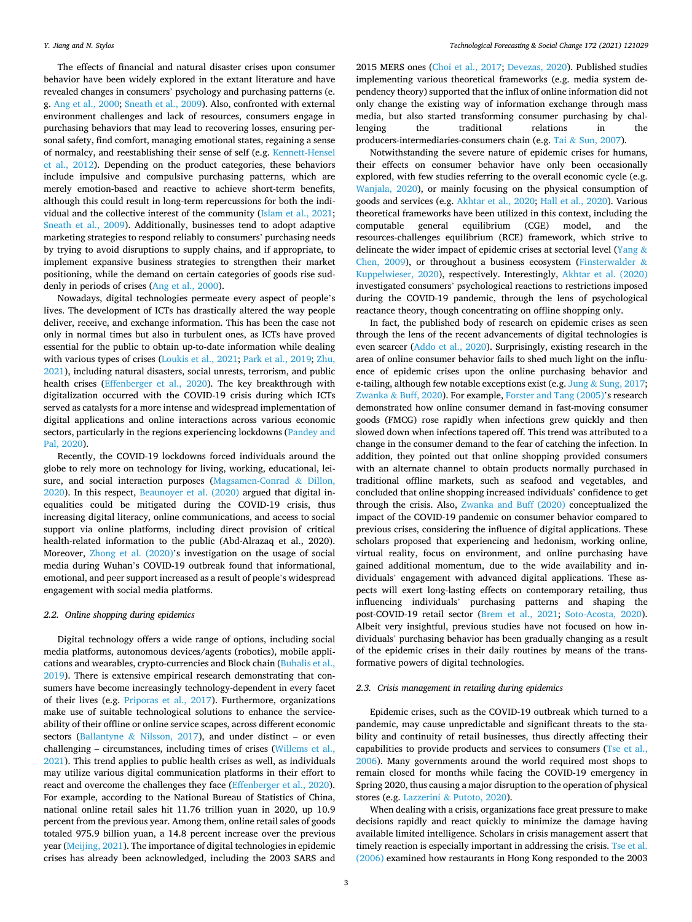The effects of financial and natural disaster crises upon consumer behavior have been widely explored in the extant literature and have revealed changes in consumers' psychology and purchasing patterns (e. g. [Ang et al., 2000;](#page-16-0) [Sneath et al., 2009\)](#page-17-0). Also, confronted with external environment challenges and lack of resources, consumers engage in purchasing behaviors that may lead to recovering losses, ensuring personal safety, find comfort, managing emotional states, regaining a sense of normalcy, and reestablishing their sense of self (e.g. [Kennett-Hensel](#page-17-0)  [et al., 2012\)](#page-17-0). Depending on the product categories, these behaviors include impulsive and compulsive purchasing patterns, which are merely emotion-based and reactive to achieve short-term benefits, although this could result in long-term repercussions for both the individual and the collective interest of the community ([Islam et al., 2021](#page-17-0); [Sneath et al., 2009](#page-17-0)). Additionally, businesses tend to adopt adaptive marketing strategies to respond reliably to consumers' purchasing needs by trying to avoid disruptions to supply chains, and if appropriate, to implement expansive business strategies to strengthen their market positioning, while the demand on certain categories of goods rise suddenly in periods of crises [\(Ang et al., 2000](#page-16-0)).

Nowadays, digital technologies permeate every aspect of people's lives. The development of ICTs has drastically altered the way people deliver, receive, and exchange information. This has been the case not only in normal times but also in turbulent ones, as ICTs have proved essential for the public to obtain up-to-date information while dealing with various types of crises [\(Loukis et al., 2021; Park et al., 2019](#page-17-0); [Zhu,](#page-18-0)  [2021\)](#page-18-0), including natural disasters, social unrests, terrorism, and public health crises [\(Effenberger et al., 2020](#page-17-0)). The key breakthrough with digitalization occurred with the COVID-19 crisis during which ICTs served as catalysts for a more intense and widespread implementation of digital applications and online interactions across various economic sectors, particularly in the regions experiencing lockdowns ([Pandey and](#page-17-0)  [Pal, 2020](#page-17-0)).

Recently, the COVID-19 lockdowns forced individuals around the globe to rely more on technology for living, working, educational, leisure, and social interaction purposes ([Magsamen-Conrad](#page-17-0) & Dillon, [2020\)](#page-17-0). In this respect, [Beaunoyer et al. \(2020\)](#page-16-0) argued that digital inequalities could be mitigated during the COVID-19 crisis, thus increasing digital literacy, online communications, and access to social support via online platforms, including direct provision of critical health-related information to the public (Abd-Alrazaq et al., 2020). Moreover, [Zhong et al. \(2020\)](#page-18-0)'s investigation on the usage of social media during Wuhan's COVID-19 outbreak found that informational, emotional, and peer support increased as a result of people's widespread engagement with social media platforms.

#### *2.2. Online shopping during epidemics*

Digital technology offers a wide range of options, including social media platforms, autonomous devices/agents (robotics), mobile applications and wearables, crypto-currencies and Block chain ([Buhalis et al.,](#page-17-0)  [2019\)](#page-17-0). There is extensive empirical research demonstrating that consumers have become increasingly technology-dependent in every facet of their lives (e.g. [Priporas et al., 2017](#page-17-0)). Furthermore, organizations make use of suitable technological solutions to enhance the serviceability of their offline or online service scapes, across different economic sectors (Ballantyne & [Nilsson, 2017\)](#page-16-0), and under distinct – or even challenging – circumstances, including times of crises ([Willems et al.,](#page-18-0)  [2021\)](#page-18-0). This trend applies to public health crises as well, as individuals may utilize various digital communication platforms in their effort to react and overcome the challenges they face ([Effenberger et al., 2020](#page-17-0)). For example, according to the National Bureau of Statistics of China, national online retail sales hit 11.76 trillion yuan in 2020, up 10.9 percent from the previous year. Among them, online retail sales of goods totaled 975.9 billion yuan, a 14.8 percent increase over the previous year ([Meijing, 2021](#page-17-0)). The importance of digital technologies in epidemic crises has already been acknowledged, including the 2003 SARS and

2015 MERS ones [\(Choi et al., 2017](#page-17-0); [Devezas, 2020](#page-17-0)). Published studies implementing various theoretical frameworks (e.g. media system dependency theory) supported that the influx of online information did not only change the existing way of information exchange through mass media, but also started transforming consumer purchasing by challenging the traditional relations in the producers-intermediaries-consumers chain (e.g. Tai & [Sun, 2007\)](#page-17-0).

Notwithstanding the severe nature of epidemic crises for humans, their effects on consumer behavior have only been occasionally explored, with few studies referring to the overall economic cycle (e.g. [Wanjala, 2020](#page-18-0)), or mainly focusing on the physical consumption of goods and services (e.g. [Akhtar et al., 2020;](#page-16-0) [Hall et al., 2020\)](#page-17-0). Various theoretical frameworks have been utilized in this context, including the computable general equilibrium (CGE) model, and the resources-challenges equilibrium (RCE) framework, which strive to delineate the wider impact of epidemic crises at sectorial level [\(Yang](#page-18-0)  $\&$ [Chen, 2009\)](#page-18-0), or throughout a business ecosystem ([Finsterwalder](#page-17-0) & [Kuppelwieser, 2020\)](#page-17-0), respectively. Interestingly, [Akhtar et al. \(2020\)](#page-16-0)  investigated consumers' psychological reactions to restrictions imposed during the COVID-19 pandemic, through the lens of psychological reactance theory, though concentrating on offline shopping only.

In fact, the published body of research on epidemic crises as seen through the lens of the recent advancements of digital technologies is even scarcer [\(Addo et al., 2020\)](#page-16-0). Surprisingly, existing research in the area of online consumer behavior fails to shed much light on the influence of epidemic crises upon the online purchasing behavior and e-tailing, although few notable exceptions exist (e.g. Jung & [Sung, 2017](#page-17-0); Zwanka & [Buff, 2020\)](#page-18-0). For example, [Forster and Tang \(2005\)](#page-17-0)'s research demonstrated how online consumer demand in fast-moving consumer goods (FMCG) rose rapidly when infections grew quickly and then slowed down when infections tapered off. This trend was attributed to a change in the consumer demand to the fear of catching the infection. In addition, they pointed out that online shopping provided consumers with an alternate channel to obtain products normally purchased in traditional offline markets, such as seafood and vegetables, and concluded that online shopping increased individuals' confidence to get through the crisis. Also, [Zwanka and Buff \(2020\)](#page-18-0) conceptualized the impact of the COVID-19 pandemic on consumer behavior compared to previous crises, considering the influence of digital applications. These scholars proposed that experiencing and hedonism, working online, virtual reality, focus on environment, and online purchasing have gained additional momentum, due to the wide availability and individuals' engagement with advanced digital applications. These aspects will exert long-lasting effects on contemporary retailing, thus influencing individuals' purchasing patterns and shaping the post-COVID-19 retail sector [\(Brem et al., 2021;](#page-16-0) [Soto-Acosta, 2020](#page-17-0)). Albeit very insightful, previous studies have not focused on how individuals' purchasing behavior has been gradually changing as a result of the epidemic crises in their daily routines by means of the transformative powers of digital technologies.

#### *2.3. Crisis management in retailing during epidemics*

Epidemic crises, such as the COVID-19 outbreak which turned to a pandemic, may cause unpredictable and significant threats to the stability and continuity of retail businesses, thus directly affecting their capabilities to provide products and services to consumers (Tse et al., [2006\)](#page-17-0). Many governments around the world required most shops to remain closed for months while facing the COVID-19 emergency in Spring 2020, thus causing a major disruption to the operation of physical stores (e.g. Lazzerini & [Putoto, 2020](#page-17-0)).

When dealing with a crisis, organizations face great pressure to make decisions rapidly and react quickly to minimize the damage having available limited intelligence. Scholars in crisis management assert that timely reaction is especially important in addressing the crisis. [Tse et al.](#page-17-0)  [\(2006\)](#page-17-0) examined how restaurants in Hong Kong responded to the 2003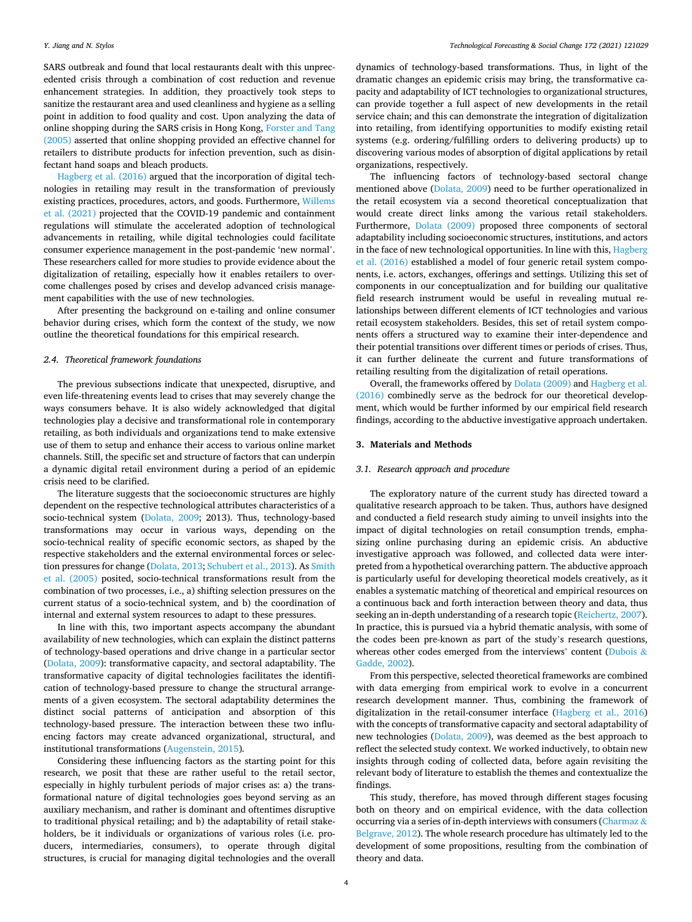SARS outbreak and found that local restaurants dealt with this unprecedented crisis through a combination of cost reduction and revenue enhancement strategies. In addition, they proactively took steps to sanitize the restaurant area and used cleanliness and hygiene as a selling point in addition to food quality and cost. Upon analyzing the data of online shopping during the SARS crisis in Hong Kong, [Forster and Tang](#page-17-0)  [\(2005\)](#page-17-0) asserted that online shopping provided an effective channel for retailers to distribute products for infection prevention, such as disinfectant hand soaps and bleach products.

[Hagberg et al. \(2016\)](#page-17-0) argued that the incorporation of digital technologies in retailing may result in the transformation of previously existing practices, procedures, actors, and goods. Furthermore, [Willems](#page-18-0)  [et al. \(2021\)](#page-18-0) projected that the COVID-19 pandemic and containment regulations will stimulate the accelerated adoption of technological advancements in retailing, while digital technologies could facilitate consumer experience management in the post-pandemic 'new normal'. These researchers called for more studies to provide evidence about the digitalization of retailing, especially how it enables retailers to overcome challenges posed by crises and develop advanced crisis management capabilities with the use of new technologies.

After presenting the background on e-tailing and online consumer behavior during crises, which form the context of the study, we now outline the theoretical foundations for this empirical research.

#### *2.4. Theoretical framework foundations*

The previous subsections indicate that unexpected, disruptive, and even life-threatening events lead to crises that may severely change the ways consumers behave. It is also widely acknowledged that digital technologies play a decisive and transformational role in contemporary retailing, as both individuals and organizations tend to make extensive use of them to setup and enhance their access to various online market channels. Still, the specific set and structure of factors that can underpin a dynamic digital retail environment during a period of an epidemic crisis need to be clarified.

The literature suggests that the socioeconomic structures are highly dependent on the respective technological attributes characteristics of a socio-technical system [\(Dolata, 2009](#page-17-0); 2013). Thus, technology-based transformations may occur in various ways, depending on the socio-technical reality of specific economic sectors, as shaped by the respective stakeholders and the external environmental forces or selection pressures for change [\(Dolata, 2013; Schubert et al., 2013\)](#page-17-0). As [Smith](#page-17-0)  [et al. \(2005\)](#page-17-0) posited, socio-technical transformations result from the combination of two processes, i.e., a) shifting selection pressures on the current status of a socio-technical system, and b) the coordination of internal and external system resources to adapt to these pressures.

In line with this, two important aspects accompany the abundant availability of new technologies, which can explain the distinct patterns of technology-based operations and drive change in a particular sector ([Dolata, 2009](#page-17-0)): transformative capacity, and sectoral adaptability. The transformative capacity of digital technologies facilitates the identification of technology-based pressure to change the structural arrangements of a given ecosystem. The sectoral adaptability determines the distinct social patterns of anticipation and absorption of this technology-based pressure. The interaction between these two influencing factors may create advanced organizational, structural, and institutional transformations ([Augenstein, 2015\)](#page-16-0)*.* 

Considering these influencing factors as the starting point for this research, we posit that these are rather useful to the retail sector, especially in highly turbulent periods of major crises as: a) the transformational nature of digital technologies goes beyond serving as an auxiliary mechanism, and rather is dominant and oftentimes disruptive to traditional physical retailing; and b) the adaptability of retail stakeholders, be it individuals or organizations of various roles (i.e. producers, intermediaries, consumers), to operate through digital structures, is crucial for managing digital technologies and the overall

dynamics of technology-based transformations. Thus, in light of the dramatic changes an epidemic crisis may bring, the transformative capacity and adaptability of ICT technologies to organizational structures, can provide together a full aspect of new developments in the retail service chain; and this can demonstrate the integration of digitalization into retailing, from identifying opportunities to modify existing retail systems (e.g. ordering/fulfilling orders to delivering products) up to discovering various modes of absorption of digital applications by retail organizations, respectively.

The influencing factors of technology-based sectoral change mentioned above ([Dolata, 2009\)](#page-17-0) need to be further operationalized in the retail ecosystem via a second theoretical conceptualization that would create direct links among the various retail stakeholders. Furthermore, [Dolata \(2009\)](#page-17-0) proposed three components of sectoral adaptability including socioeconomic structures, institutions, and actors in the face of new technological opportunities. In line with this, [Hagberg](#page-17-0)  [et al. \(2016\)](#page-17-0) established a model of four generic retail system components, i.e. actors, exchanges, offerings and settings. Utilizing this set of components in our conceptualization and for building our qualitative field research instrument would be useful in revealing mutual relationships between different elements of ICT technologies and various retail ecosystem stakeholders. Besides, this set of retail system components offers a structured way to examine their inter-dependence and their potential transitions over different times or periods of crises. Thus, it can further delineate the current and future transformations of retailing resulting from the digitalization of retail operations.

Overall, the frameworks offered by [Dolata \(2009\)](#page-17-0) and [Hagberg et al.](#page-17-0)  [\(2016\)](#page-17-0) combinedly serve as the bedrock for our theoretical development, which would be further informed by our empirical field research findings, according to the abductive investigative approach undertaken.

#### **3. Materials and Methods**

#### *3.1. Research approach and procedure*

The exploratory nature of the current study has directed toward a qualitative research approach to be taken. Thus, authors have designed and conducted a field research study aiming to unveil insights into the impact of digital technologies on retail consumption trends, emphasizing online purchasing during an epidemic crisis. An abductive investigative approach was followed, and collected data were interpreted from a hypothetical overarching pattern. The abductive approach is particularly useful for developing theoretical models creatively, as it enables a systematic matching of theoretical and empirical resources on a continuous back and forth interaction between theory and data, thus seeking an in-depth understanding of a research topic [\(Reichertz, 2007](#page-17-0)). In practice, this is pursued via a hybrid thematic analysis, with some of the codes been pre-known as part of the study's research questions, whereas other codes emerged from the interviews' content [\(Dubois](#page-17-0) & [Gadde, 2002\)](#page-17-0).

From this perspective, selected theoretical frameworks are combined with data emerging from empirical work to evolve in a concurrent research development manner. Thus, combining the framework of digitalization in the retail-consumer interface ([Hagberg et al., 2016\)](#page-17-0) with the concepts of transformative capacity and sectoral adaptability of new technologies ([Dolata, 2009\)](#page-17-0), was deemed as the best approach to reflect the selected study context. We worked inductively, to obtain new insights through coding of collected data, before again revisiting the relevant body of literature to establish the themes and contextualize the findings.

This study, therefore, has moved through different stages focusing both on theory and on empirical evidence, with the data collection occurring via a series of in-depth interviews with consumers ([Charmaz](#page-17-0)  $\&$ [Belgrave, 2012](#page-17-0)). The whole research procedure has ultimately led to the development of some propositions, resulting from the combination of theory and data.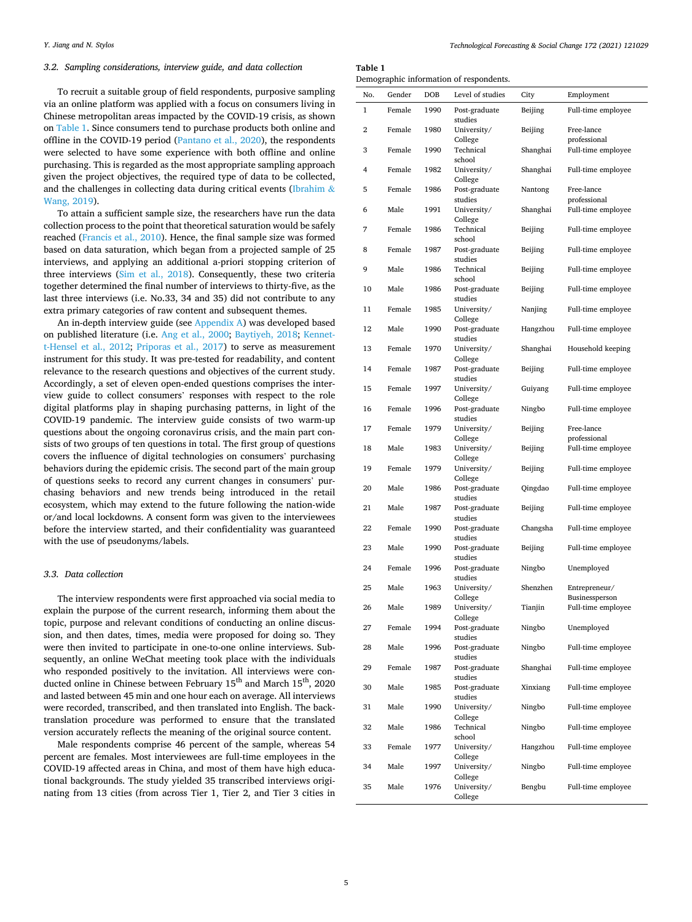#### *3.2. Sampling considerations, interview guide, and data collection*

To recruit a suitable group of field respondents, purposive sampling via an online platform was applied with a focus on consumers living in Chinese metropolitan areas impacted by the COVID-19 crisis, as shown on Table 1. Since consumers tend to purchase products both online and offline in the COVID-19 period ([Pantano et al., 2020\)](#page-17-0), the respondents were selected to have some experience with both offline and online purchasing. This is regarded as the most appropriate sampling approach given the project objectives, the required type of data to be collected, and the challenges in collecting data during critical events ([Ibrahim](#page-17-0)  $\&$ [Wang, 2019](#page-17-0)).

To attain a sufficient sample size, the researchers have run the data collection process to the point that theoretical saturation would be safely reached ([Francis et al., 2010\)](#page-17-0). Hence, the final sample size was formed based on data saturation, which began from a projected sample of 25 interviews, and applying an additional a-priori stopping criterion of three interviews ([Sim et al., 2018](#page-17-0)). Consequently, these two criteria together determined the final number of interviews to thirty-five, as the last three interviews (i.e. No.33, 34 and 35) did not contribute to any extra primary categories of raw content and subsequent themes.

An in-depth interview guide (see [Appendix A](#page-14-0)) was developed based on published literature (i.e. [Ang et al., 2000](#page-16-0); [Baytiyeh, 2018](#page-16-0); [Kennet](#page-17-0)[t-Hensel et al., 2012](#page-17-0); [Priporas et al., 2017](#page-17-0)) to serve as measurement instrument for this study. It was pre-tested for readability, and content relevance to the research questions and objectives of the current study. Accordingly, a set of eleven open-ended questions comprises the interview guide to collect consumers' responses with respect to the role digital platforms play in shaping purchasing patterns, in light of the COVID-19 pandemic. The interview guide consists of two warm-up questions about the ongoing coronavirus crisis, and the main part consists of two groups of ten questions in total. The first group of questions covers the influence of digital technologies on consumers' purchasing behaviors during the epidemic crisis. The second part of the main group of questions seeks to record any current changes in consumers' purchasing behaviors and new trends being introduced in the retail ecosystem, which may extend to the future following the nation-wide or/and local lockdowns. A consent form was given to the interviewees before the interview started, and their confidentiality was guaranteed with the use of pseudonyms/labels.

#### *3.3. Data collection*

The interview respondents were first approached via social media to explain the purpose of the current research, informing them about the topic, purpose and relevant conditions of conducting an online discussion, and then dates, times, media were proposed for doing so. They were then invited to participate in one-to-one online interviews. Subsequently, an online WeChat meeting took place with the individuals who responded positively to the invitation. All interviews were conducted online in Chinese between February 15<sup>th</sup> and March 15<sup>th</sup>, 2020 and lasted between 45 min and one hour each on average. All interviews were recorded, transcribed, and then translated into English. The backtranslation procedure was performed to ensure that the translated version accurately reflects the meaning of the original source content.

Male respondents comprise 46 percent of the sample, whereas 54 percent are females. Most interviewees are full-time employees in the COVID-19 affected areas in China, and most of them have high educational backgrounds. The study yielded 35 transcribed interviews originating from 13 cities (from across Tier 1, Tier 2, and Tier 3 cities in

**Table 1** 

|  | Demographic information of respondents. |
|--|-----------------------------------------|
|  |                                         |

| No. | Gender | DOB  | Level of studies               | City     | Employment                         |
|-----|--------|------|--------------------------------|----------|------------------------------------|
| 1   | Female | 1990 | Post-graduate<br>studies       | Beijing  | Full-time employee                 |
| 2   | Female | 1980 | University/                    | Beijing  | Free-lance                         |
| 3   | Female | 1990 | College<br>Technical<br>school | Shanghai | professional<br>Full-time employee |
| 4   | Female | 1982 | University/<br>College         | Shanghai | Full-time employee                 |
| 5   | Female | 1986 | Post-graduate<br>studies       | Nantong  | Free-lance<br>professional         |
| 6   | Male   | 1991 | University/                    | Shanghai | Full-time employee                 |
| 7   | Female | 1986 | College<br>Technical<br>school | Beijing  | Full-time employee                 |
| 8   | Female | 1987 | Post-graduate<br>studies       | Beijing  | Full-time employee                 |
| 9   | Male   | 1986 | Technical<br>school            | Beijing  | Full-time employee                 |
| 10  | Male   | 1986 | Post-graduate<br>studies       | Beijing  | Full-time employee                 |
| 11  | Female | 1985 | University/<br>College         | Nanjing  | Full-time employee                 |
| 12  | Male   | 1990 | Post-graduate<br>studies       | Hangzhou | Full-time employee                 |
| 13  | Female | 1970 | University/<br>College         | Shanghai | Household keeping                  |
| 14  | Female | 1987 | Post-graduate<br>studies       | Beijing  | Full-time employee                 |
| 15  | Female | 1997 | University/<br>College         | Guiyang  | Full-time employee                 |
| 16  | Female | 1996 | Post-graduate<br>studies       | Ningbo   | Full-time employee                 |
| 17  | Female | 1979 | University/<br>College         | Beijing  | Free-lance<br>professional         |
| 18  | Male   | 1983 | University/<br>College         | Beijing  | Full-time employee                 |
| 19  | Female | 1979 | University/<br>College         | Beijing  | Full-time employee                 |
| 20  | Male   | 1986 | Post-graduate<br>studies       | Qingdao  | Full-time employee                 |
| 21  | Male   | 1987 | Post-graduate<br>studies       | Beijing  | Full-time employee                 |
| 22  | Female | 1990 | Post-graduate<br>studies       | Changsha | Full-time employee                 |
| 23  | Male   | 1990 | Post-graduate<br>studies       | Beijing  | Full-time employee                 |
| 24  | Female | 1996 | Post-graduate<br>studies       | Ningbo   | Unemployed                         |
| 25  | Male   | 1963 | University/<br>College         | Shenzhen | Entrepreneur/<br>Businessperson    |
| 26  | Male   | 1989 | University/<br>College         | Tianjin  | Full-time employee                 |
| 27  | Female | 1994 | Post-graduate<br>studies       | Ningbo   | Unemployed                         |
| 28  | Male   | 1996 | Post-graduate<br>studies       | Ningbo   | Full-time employee                 |
| 29  | Female | 1987 | Post-graduate<br>studies       | Shanghai | Full-time employee                 |
| 30  | Male   | 1985 | Post-graduate<br>studies       | Xinxiang | Full-time employee                 |
| 31  | Male   | 1990 | University/<br>College         | Ningbo   | Full-time employee                 |
| 32  | Male   | 1986 | Technical<br>school            | Ningbo   | Full-time employee                 |
| 33  | Female | 1977 | University/<br>College         | Hangzhou | Full-time employee                 |
| 34  | Male   | 1997 | University/<br>College         | Ningbo   | Full-time employee                 |
| 35  | Male   | 1976 | University/<br>College         | Bengbu   | Full-time employee                 |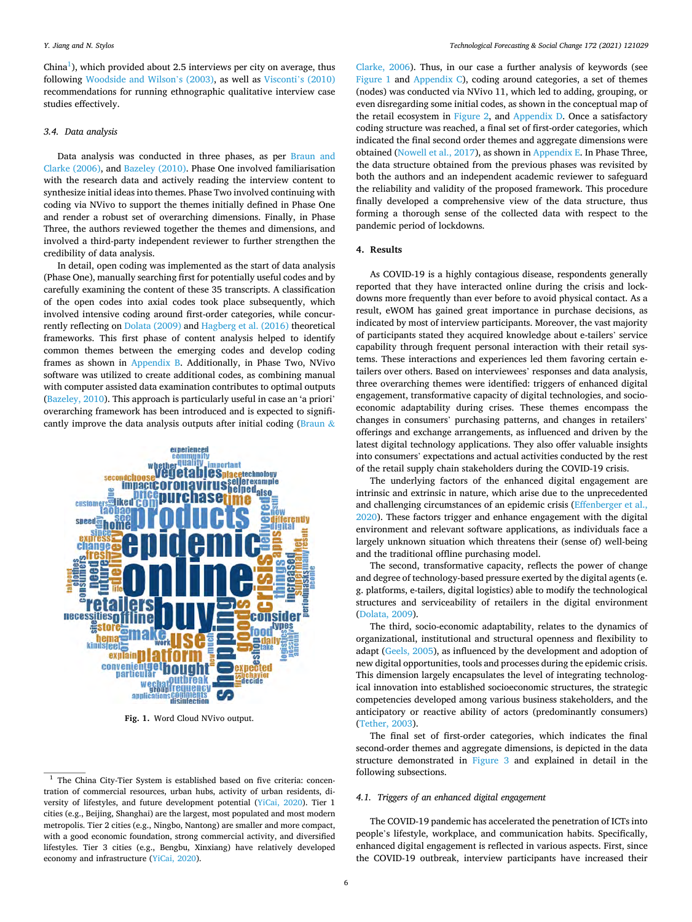China<sup>1</sup>), which provided about 2.5 interviews per city on average, thus following [Woodside and Wilson](#page-18-0)'s (2003), as well as Visconti'[s \(2010\)](#page-18-0)  recommendations for running ethnographic qualitative interview case studies effectively.

#### *3.4. Data analysis*

Data analysis was conducted in three phases, as per [Braun and](#page-16-0)  [Clarke \(2006\),](#page-16-0) and [Bazeley \(2010\)](#page-16-0). Phase One involved familiarisation with the research data and actively reading the interview content to synthesize initial ideas into themes. Phase Two involved continuing with coding via NVivo to support the themes initially defined in Phase One and render a robust set of overarching dimensions. Finally, in Phase Three, the authors reviewed together the themes and dimensions, and involved a third-party independent reviewer to further strengthen the credibility of data analysis.

In detail, open coding was implemented as the start of data analysis (Phase One), manually searching first for potentially useful codes and by carefully examining the content of these 35 transcripts. A classification of the open codes into axial codes took place subsequently, which involved intensive coding around first-order categories, while concurrently reflecting on [Dolata \(2009\)](#page-17-0) and [Hagberg et al. \(2016\)](#page-17-0) theoretical frameworks. This first phase of content analysis helped to identify common themes between the emerging codes and develop coding frames as shown in [Appendix B](#page-14-0). Additionally, in Phase Two, NVivo software was utilized to create additional codes, as combining manual with computer assisted data examination contributes to optimal outputs ([Bazeley, 2010\)](#page-16-0). This approach is particularly useful in case an 'a priori' overarching framework has been introduced and is expected to signifi-cantly improve the data analysis outputs after initial coding ([Braun](#page-16-0)  $\&$ 



**Fig. 1.** Word Cloud NVivo output.

[Clarke, 2006\)](#page-16-0). Thus, in our case a further analysis of keywords (see Figure 1 and [Appendix C\)](#page-15-0), coding around categories, a set of themes (nodes) was conducted via NVivo 11, which led to adding, grouping, or even disregarding some initial codes, as shown in the conceptual map of the retail ecosystem in [Figure 2,](#page-6-0) and [Appendix D](#page-15-0). Once a satisfactory coding structure was reached, a final set of first-order categories, which indicated the final second order themes and aggregate dimensions were obtained [\(Nowell et al., 2017\)](#page-17-0), as shown in [Appendix E](#page-16-0). In Phase Three, the data structure obtained from the previous phases was revisited by both the authors and an independent academic reviewer to safeguard the reliability and validity of the proposed framework. This procedure finally developed a comprehensive view of the data structure, thus forming a thorough sense of the collected data with respect to the pandemic period of lockdowns.

#### **4. Results**

As COVID-19 is a highly contagious disease, respondents generally reported that they have interacted online during the crisis and lockdowns more frequently than ever before to avoid physical contact. As a result, eWOM has gained great importance in purchase decisions, as indicated by most of interview participants. Moreover, the vast majority of participants stated they acquired knowledge about e-tailers' service capability through frequent personal interaction with their retail systems. These interactions and experiences led them favoring certain etailers over others. Based on interviewees' responses and data analysis, three overarching themes were identified: triggers of enhanced digital engagement, transformative capacity of digital technologies, and socioeconomic adaptability during crises. These themes encompass the changes in consumers' purchasing patterns, and changes in retailers' offerings and exchange arrangements, as influenced and driven by the latest digital technology applications. They also offer valuable insights into consumers' expectations and actual activities conducted by the rest of the retail supply chain stakeholders during the COVID-19 crisis.

The underlying factors of the enhanced digital engagement are intrinsic and extrinsic in nature, which arise due to the unprecedented and challenging circumstances of an epidemic crisis ([Effenberger et al.,](#page-17-0)  [2020\)](#page-17-0). These factors trigger and enhance engagement with the digital environment and relevant software applications, as individuals face a largely unknown situation which threatens their (sense of) well-being and the traditional offline purchasing model.

The second, transformative capacity, reflects the power of change and degree of technology-based pressure exerted by the digital agents (e. g. platforms, e-tailers, digital logistics) able to modify the technological structures and serviceability of retailers in the digital environment ([Dolata, 2009](#page-17-0)).

The third, socio-economic adaptability, relates to the dynamics of organizational, institutional and structural openness and flexibility to adapt ([Geels, 2005](#page-17-0)), as influenced by the development and adoption of new digital opportunities, tools and processes during the epidemic crisis. This dimension largely encapsulates the level of integrating technological innovation into established socioeconomic structures, the strategic competencies developed among various business stakeholders, and the anticipatory or reactive ability of actors (predominantly consumers) ([Tether, 2003](#page-17-0)).

The final set of first-order categories, which indicates the final second-order themes and aggregate dimensions, is depicted in the data structure demonstrated in [Figure 3](#page-6-0) and explained in detail in the following subsections.

#### *4.1. Triggers of an enhanced digital engagement*

The COVID-19 pandemic has accelerated the penetration of ICTs into people's lifestyle, workplace, and communication habits. Specifically, enhanced digital engagement is reflected in various aspects. First, since the COVID-19 outbreak, interview participants have increased their

<sup>&</sup>lt;sup>1</sup> The China City-Tier System is established based on five criteria: concentration of commercial resources, urban hubs, activity of urban residents, diversity of lifestyles, and future development potential ([YiCai, 2020](#page-18-0)). Tier 1 cities (e.g., Beijing, Shanghai) are the largest, most populated and most modern metropolis. Tier 2 cities (e.g., Ningbo, Nantong) are smaller and more compact, with a good economic foundation, strong commercial activity, and diversified lifestyles. Tier 3 cities (e.g., Bengbu, Xinxiang) have relatively developed economy and infrastructure [\(YiCai, 2020\)](#page-18-0).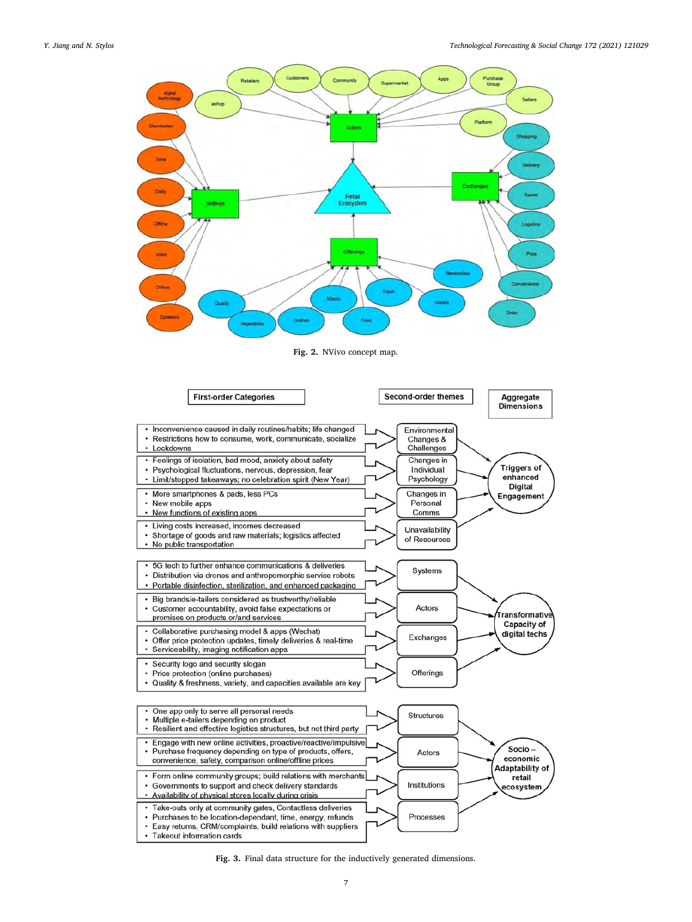<span id="page-6-0"></span>

**Fig. 2.** NVivo concept map.



**Fig. 3.** Final data structure for the inductively generated dimensions.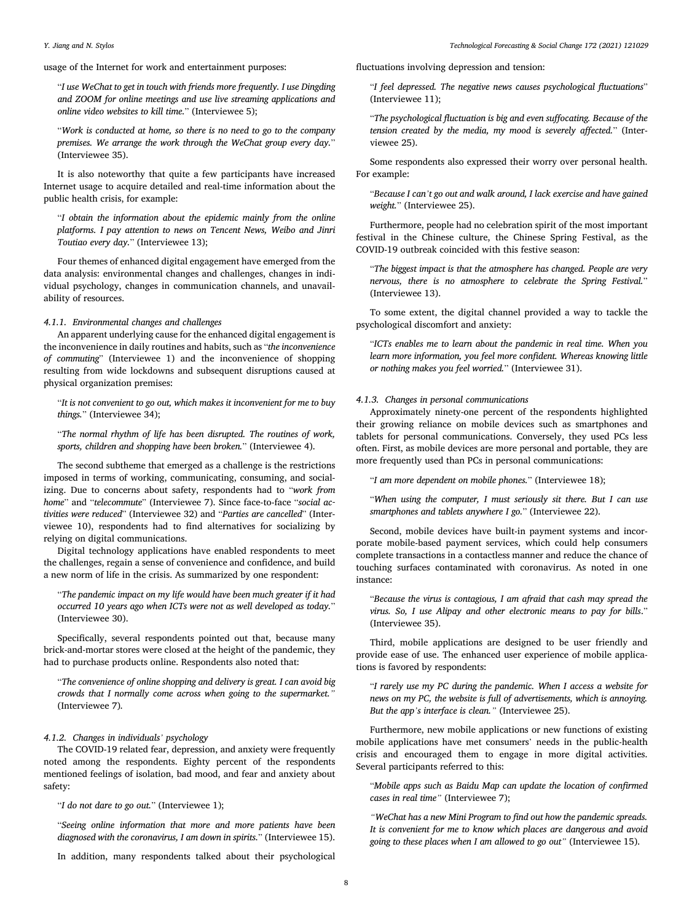usage of the Internet for work and entertainment purposes:

"*I use WeChat to get in touch with friends more frequently. I use Dingding and ZOOM for online meetings and use live streaming applications and online video websites to kill time.*" (Interviewee 5);

"*Work is conducted at home, so there is no need to go to the company premises. We arrange the work through the WeChat group every day.*" (Interviewee 35).

It is also noteworthy that quite a few participants have increased Internet usage to acquire detailed and real-time information about the public health crisis, for example:

"*I obtain the information about the epidemic mainly from the online platforms. I pay attention to news on Tencent News, Weibo and Jinri Toutiao every day.*" (Interviewee 13);

Four themes of enhanced digital engagement have emerged from the data analysis: environmental changes and challenges, changes in individual psychology, changes in communication channels, and unavailability of resources.

#### *4.1.1. Environmental changes and challenges*

An apparent underlying cause for the enhanced digital engagement is the inconvenience in daily routines and habits, such as "*the inconvenience of commuting*" (Interviewee 1) and the inconvenience of shopping resulting from wide lockdowns and subsequent disruptions caused at physical organization premises:

"*It is not convenient to go out, which makes it inconvenient for me to buy things.*" (Interviewee 34);

"*The normal rhythm of life has been disrupted. The routines of work, sports, children and shopping have been broken.*" (Interviewee 4).

The second subtheme that emerged as a challenge is the restrictions imposed in terms of working, communicating, consuming, and socializing. Due to concerns about safety, respondents had to "*work from home*" and "*telecommute*" (Interviewee 7). Since face-to-face "*social activities were reduced*" (Interviewee 32) and "*Parties are cancelled*" (Interviewee 10), respondents had to find alternatives for socializing by relying on digital communications.

Digital technology applications have enabled respondents to meet the challenges, regain a sense of convenience and confidence, and build a new norm of life in the crisis. As summarized by one respondent:

"*The pandemic impact on my life would have been much greater if it had occurred 10 years ago when ICTs were not as well developed as today.*" (Interviewee 30).

Specifically, several respondents pointed out that, because many brick-and-mortar stores were closed at the height of the pandemic, they had to purchase products online. Respondents also noted that:

"*The convenience of online shopping and delivery is great. I can avoid big crowds that I normally come across when going to the supermarket."*  (Interviewee 7)*.* 

## *4.1.2. Changes in individuals' psychology*

The COVID-19 related fear, depression, and anxiety were frequently noted among the respondents. Eighty percent of the respondents mentioned feelings of isolation, bad mood, and fear and anxiety about safety:

"*I do not dare to go out.*" (Interviewee 1);

"*Seeing online information that more and more patients have been diagnosed with the coronavirus, I am down in spirits.*" (Interviewee 15).

In addition, many respondents talked about their psychological

fluctuations involving depression and tension:

"*I feel depressed. The negative news causes psychological fluctuations*" (Interviewee 11);

"*The psychological fluctuation is big and even suffocating. Because of the tension created by the media, my mood is severely affected.*" (Interviewee 25).

Some respondents also expressed their worry over personal health. For example:

"*Because I can't go out and walk around, I lack exercise and have gained weight.*" (Interviewee 25).

Furthermore, people had no celebration spirit of the most important festival in the Chinese culture, the Chinese Spring Festival, as the COVID-19 outbreak coincided with this festive season:

"*The biggest impact is that the atmosphere has changed. People are very nervous, there is no atmosphere to celebrate the Spring Festival.*" (Interviewee 13).

To some extent, the digital channel provided a way to tackle the psychological discomfort and anxiety:

"*ICTs enables me to learn about the pandemic in real time. When you learn more information, you feel more confident. Whereas knowing little or nothing makes you feel worried.*" (Interviewee 31).

#### *4.1.3. Changes in personal communications*

Approximately ninety-one percent of the respondents highlighted their growing reliance on mobile devices such as smartphones and tablets for personal communications. Conversely, they used PCs less often. First, as mobile devices are more personal and portable, they are more frequently used than PCs in personal communications:

"*I am more dependent on mobile phones.*" (Interviewee 18);

"*When using the computer, I must seriously sit there. But I can use smartphones and tablets anywhere I go.*" (Interviewee 22).

Second, mobile devices have built-in payment systems and incorporate mobile-based payment services, which could help consumers complete transactions in a contactless manner and reduce the chance of touching surfaces contaminated with coronavirus. As noted in one instance:

"*Because the virus is contagious, I am afraid that cash may spread the virus. So, I use Alipay and other electronic means to pay for bills*." (Interviewee 35).

Third, mobile applications are designed to be user friendly and provide ease of use. The enhanced user experience of mobile applications is favored by respondents:

"*I rarely use my PC during the pandemic. When I access a website for news on my PC, the website is full of advertisements, which is annoying. But the app's interface is clean."* (Interviewee 25).

Furthermore, new mobile applications or new functions of existing mobile applications have met consumers' needs in the public-health crisis and encouraged them to engage in more digital activities. Several participants referred to this:

"*Mobile apps such as Baidu Map can update the location of confirmed cases in real time"* (Interviewee 7);

*"WeChat has a new Mini Program to find out how the pandemic spreads. It is convenient for me to know which places are dangerous and avoid going to these places when I am allowed to go out"* (Interviewee 15).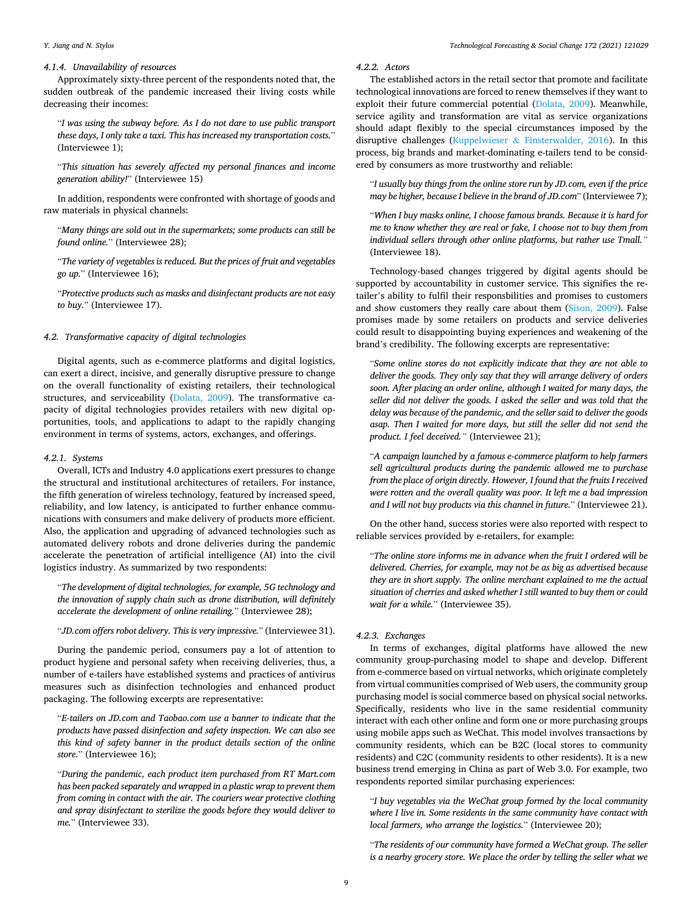#### *4.1.4. Unavailability of resources*

Approximately sixty-three percent of the respondents noted that, the sudden outbreak of the pandemic increased their living costs while decreasing their incomes:

"*I was using the subway before. As I do not dare to use public transport these days, I only take a taxi. This has increased my transportation costs.*" (Interviewee 1);

"*This situation has severely affected my personal finances and income generation ability!*" (Interviewee 15)

In addition, respondents were confronted with shortage of goods and raw materials in physical channels:

"*Many things are sold out in the supermarkets; some products can still be found online.*" (Interviewee 28);

"*The variety of vegetables is reduced. But the prices of fruit and vegetables go up.*" (Interviewee 16);

"*Protective products such as masks and disinfectant products are not easy to buy.*" (Interviewee 17).

#### *4.2. Transformative capacity of digital technologies*

Digital agents, such as e-commerce platforms and digital logistics, can exert a direct, incisive, and generally disruptive pressure to change on the overall functionality of existing retailers, their technological structures, and serviceability [\(Dolata, 2009](#page-17-0)). The transformative capacity of digital technologies provides retailers with new digital opportunities, tools, and applications to adapt to the rapidly changing environment in terms of systems, actors, exchanges, and offerings.

#### *4.2.1. Systems*

Overall, ICTs and Industry 4.0 applications exert pressures to change the structural and institutional architectures of retailers. For instance, the fifth generation of wireless technology, featured by increased speed, reliability, and low latency, is anticipated to further enhance communications with consumers and make delivery of products more efficient. Also, the application and upgrading of advanced technologies such as automated delivery robots and drone deliveries during the pandemic accelerate the penetration of artificial intelligence (AI) into the civil logistics industry. As summarized by two respondents:

"*The development of digital technologies, for example, 5G technology and the innovation of supply chain such as drone distribution, will definitely accelerate the development of online retailing.*" (Interviewee 28);

"*JD.com offers robot delivery. This is very impressive.*" (Interviewee 31).

During the pandemic period, consumers pay a lot of attention to product hygiene and personal safety when receiving deliveries, thus, a number of e-tailers have established systems and practices of antivirus measures such as disinfection technologies and enhanced product packaging. The following excerpts are representative:

"*E-tailers on JD.com and Taobao.com use a banner to indicate that the products have passed disinfection and safety inspection. We can also see this kind of safety banner in the product details section of the online store.*" (Interviewee 16);

"*During the pandemic, each product item purchased from RT Mart.com has been packed separately and wrapped in a plastic wrap to prevent them from coming in contact with the air. The couriers wear protective clothing and spray disinfectant to sterilize the goods before they would deliver to me.*" (Interviewee 33).

#### *4.2.2. Actors*

The established actors in the retail sector that promote and facilitate technological innovations are forced to renew themselves if they want to exploit their future commercial potential [\(Dolata, 2009\)](#page-17-0). Meanwhile, service agility and transformation are vital as service organizations should adapt flexibly to the special circumstances imposed by the disruptive challenges (Kuppelwieser & [Finsterwalder, 2016](#page-17-0)). In this process, big brands and market-dominating e-tailers tend to be considered by consumers as more trustworthy and reliable:

"*I usually buy things from the online store run by JD.com, even if the price may be higher, because I believe in the brand of JD.com*" (Interviewee 7);

"*When I buy masks online, I choose famous brands. Because it is hard for me to know whether they are real or fake, I choose not to buy them from individual sellers through other online platforms, but rather use Tmall."*  (Interviewee 18).

Technology-based changes triggered by digital agents should be supported by accountability in customer service. This signifies the retailer's ability to fulfil their responsbilities and promises to customers and show customers they really care about them ([Sison, 2009](#page-17-0)). False promises made by some retailers on products and service deliveries could result to disappointing buying experiences and weakening of the brand's credibility. The following excerpts are representative:

"*Some online stores do not explicitly indicate that they are not able to deliver the goods. They only say that they will arrange delivery of orders soon. After placing an order online, although I waited for many days, the seller did not deliver the goods. I asked the seller and was told that the delay was because of the pandemic, and the seller said to deliver the goods asap. Then I waited for more days, but still the seller did not send the product. I feel deceived."* (Interviewee 21);

"*A campaign launched by a famous e-commerce platform to help farmers sell agricultural products during the pandemic allowed me to purchase from the place of origin directly. However, I found that the fruits I received were rotten and the overall quality was poor. It left me a bad impression and I will not buy products via this channel in future.*" (Interviewee 21).

On the other hand, success stories were also reported with respect to reliable services provided by e-retailers, for example:

"*The online store informs me in advance when the fruit I ordered will be delivered. Cherries, for example, may not be as big as advertised because they are in short supply. The online merchant explained to me the actual situation of cherries and asked whether I still wanted to buy them or could wait for a while.*" (Interviewee 35).

#### *4.2.3. Exchanges*

In terms of exchanges, digital platforms have allowed the new community group-purchasing model to shape and develop. Different from e-commerce based on virtual networks, which originate completely from virtual communities comprised of Web users, the community group purchasing model is social commerce based on physical social networks. Specifically, residents who live in the same residential community interact with each other online and form one or more purchasing groups using mobile apps such as WeChat. This model involves transactions by community residents, which can be B2C (local stores to community residents) and C2C (community residents to other residents). It is a new business trend emerging in China as part of Web 3.0. For example, two respondents reported similar purchasing experiences:

"*I buy vegetables via the WeChat group formed by the local community where I live in. Some residents in the same community have contact with local farmers, who arrange the logistics.*" (Interviewee 20);

"*The residents of our community have formed a WeChat group. The seller is a nearby grocery store. We place the order by telling the seller what we*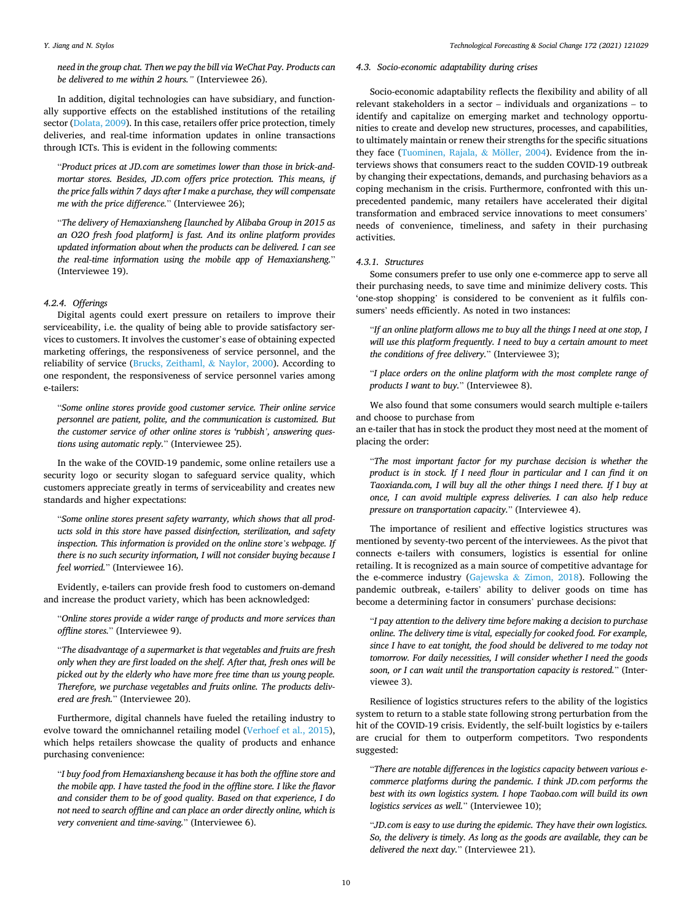*need in the group chat. Then we pay the bill via WeChat Pay. Products can be delivered to me within 2 hours."* (Interviewee 26).

In addition, digital technologies can have subsidiary, and functionally supportive effects on the established institutions of the retailing sector [\(Dolata, 2009](#page-17-0)). In this case, retailers offer price protection, timely deliveries, and real-time information updates in online transactions through ICTs. This is evident in the following comments:

"*Product prices at JD.com are sometimes lower than those in brick-andmortar stores. Besides, JD.com offers price protection. This means, if the price falls within 7 days after I make a purchase, they will compensate me with the price difference.*" (Interviewee 26);

"*The delivery of Hemaxiansheng [launched by Alibaba Group in 2015 as an O2O fresh food platform] is fast. And its online platform provides updated information about when the products can be delivered. I can see the real-time information using the mobile app of Hemaxiansheng.*" (Interviewee 19).

#### *4.2.4. Offerings*

Digital agents could exert pressure on retailers to improve their serviceability, i.e. the quality of being able to provide satisfactory services to customers. It involves the customer's ease of obtaining expected marketing offerings, the responsiveness of service personnel, and the reliability of service ([Brucks, Zeithaml,](#page-16-0) & Naylor, 2000). According to one respondent, the responsiveness of service personnel varies among e-tailers:

"*Some online stores provide good customer service. Their online service personnel are patient, polite, and the communication is customized. But the customer service of other online stores is 'rubbish', answering questions using automatic reply.*" (Interviewee 25).

In the wake of the COVID-19 pandemic, some online retailers use a security logo or security slogan to safeguard service quality, which customers appreciate greatly in terms of serviceability and creates new standards and higher expectations:

"*Some online stores present safety warranty, which shows that all products sold in this store have passed disinfection, sterilization, and safety inspection. This information is provided on the online store's webpage. If there is no such security information, I will not consider buying because I feel worried.*" (Interviewee 16).

Evidently, e-tailers can provide fresh food to customers on-demand and increase the product variety, which has been acknowledged:

"*Online stores provide a wider range of products and more services than offline stores.*" (Interviewee 9).

"*The disadvantage of a supermarket is that vegetables and fruits are fresh only when they are first loaded on the shelf. After that, fresh ones will be picked out by the elderly who have more free time than us young people. Therefore, we purchase vegetables and fruits online. The products delivered are fresh.*" (Interviewee 20).

Furthermore, digital channels have fueled the retailing industry to evolve toward the omnichannel retailing model [\(Verhoef et al., 2015](#page-17-0)), which helps retailers showcase the quality of products and enhance purchasing convenience:

"*I buy food from Hemaxiansheng because it has both the offline store and the mobile app. I have tasted the food in the offline store. I like the flavor and consider them to be of good quality. Based on that experience, I do not need to search offline and can place an order directly online, which is very convenient and time-saving.*" (Interviewee 6).

#### *4.3. Socio-economic adaptability during crises*

Socio-economic adaptability reflects the flexibility and ability of all relevant stakeholders in a sector – individuals and organizations – to identify and capitalize on emerging market and technology opportunities to create and develop new structures, processes, and capabilities, to ultimately maintain or renew their strengths for the specific situations they face ([Tuominen, Rajala,](#page-17-0)  $&$  Möller, 2004). Evidence from the interviews shows that consumers react to the sudden COVID-19 outbreak by changing their expectations, demands, and purchasing behaviors as a coping mechanism in the crisis. Furthermore, confronted with this unprecedented pandemic, many retailers have accelerated their digital transformation and embraced service innovations to meet consumers' needs of convenience, timeliness, and safety in their purchasing activities.

#### *4.3.1. Structures*

Some consumers prefer to use only one e-commerce app to serve all their purchasing needs, to save time and minimize delivery costs. This 'one-stop shopping' is considered to be convenient as it fulfils consumers' needs efficiently. As noted in two instances:

"*If an online platform allows me to buy all the things I need at one stop, I*  will use this platform frequently. I need to buy a certain amount to meet *the conditions of free delivery.*" (Interviewee 3);

"*I place orders on the online platform with the most complete range of products I want to buy.*" (Interviewee 8).

We also found that some consumers would search multiple e-tailers and choose to purchase from

an e-tailer that has in stock the product they most need at the moment of placing the order:

"*The most important factor for my purchase decision is whether the product is in stock. If I need flour in particular and I can find it on Taoxianda.com, I will buy all the other things I need there. If I buy at once, I can avoid multiple express deliveries. I can also help reduce pressure on transportation capacity.*" (Interviewee 4).

The importance of resilient and effective logistics structures was mentioned by seventy-two percent of the interviewees. As the pivot that connects e-tailers with consumers, logistics is essential for online retailing. It is recognized as a main source of competitive advantage for the e-commerce industry (Gajewska & [Zimon, 2018](#page-17-0)). Following the pandemic outbreak, e-tailers' ability to deliver goods on time has become a determining factor in consumers' purchase decisions:

"*I pay attention to the delivery time before making a decision to purchase online. The delivery time is vital, especially for cooked food. For example, since I have to eat tonight, the food should be delivered to me today not tomorrow. For daily necessities, I will consider whether I need the goods soon, or I can wait until the transportation capacity is restored.*" (Interviewee 3).

Resilience of logistics structures refers to the ability of the logistics system to return to a stable state following strong perturbation from the hit of the COVID-19 crisis. Evidently, the self-built logistics by e-tailers are crucial for them to outperform competitors. Two respondents suggested:

"*There are notable differences in the logistics capacity between various ecommerce platforms during the pandemic. I think JD.com performs the best with its own logistics system. I hope Taobao.com will build its own logistics services as well.*" (Interviewee 10);

"*JD.com is easy to use during the epidemic. They have their own logistics. So, the delivery is timely. As long as the goods are available, they can be delivered the next day.*" (Interviewee 21).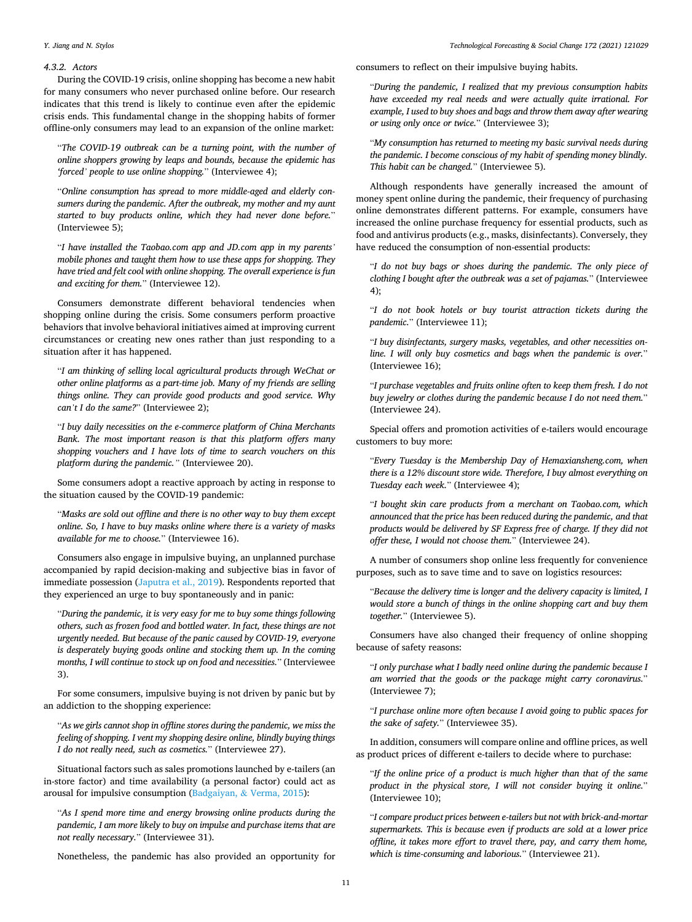#### *4.3.2. Actors*

During the COVID-19 crisis, online shopping has become a new habit for many consumers who never purchased online before. Our research indicates that this trend is likely to continue even after the epidemic crisis ends. This fundamental change in the shopping habits of former offline-only consumers may lead to an expansion of the online market:

"*The COVID-19 outbreak can be a turning point, with the number of online shoppers growing by leaps and bounds, because the epidemic has 'forced' people to use online shopping.*" (Interviewee 4);

"*Online consumption has spread to more middle-aged and elderly consumers during the pandemic. After the outbreak, my mother and my aunt started to buy products online, which they had never done before.*" (Interviewee 5);

"*I have installed the Taobao.com app and JD.com app in my parents' mobile phones and taught them how to use these apps for shopping. They have tried and felt cool with online shopping. The overall experience is fun and exciting for them.*" (Interviewee 12).

Consumers demonstrate different behavioral tendencies when shopping online during the crisis. Some consumers perform proactive behaviors that involve behavioral initiatives aimed at improving current circumstances or creating new ones rather than just responding to a situation after it has happened.

"*I am thinking of selling local agricultural products through WeChat or other online platforms as a part-time job. Many of my friends are selling things online. They can provide good products and good service. Why can't I do the same?*" (Interviewee 2);

"*I buy daily necessities on the e-commerce platform of China Merchants Bank. The most important reason is that this platform offers many shopping vouchers and I have lots of time to search vouchers on this platform during the pandemic."* (Interviewee 20).

Some consumers adopt a reactive approach by acting in response to the situation caused by the COVID-19 pandemic:

"*Masks are sold out offline and there is no other way to buy them except online. So, I have to buy masks online where there is a variety of masks available for me to choose.*" (Interviewee 16).

Consumers also engage in impulsive buying, an unplanned purchase accompanied by rapid decision-making and subjective bias in favor of immediate possession [\(Japutra et al., 2019](#page-17-0)). Respondents reported that they experienced an urge to buy spontaneously and in panic:

"*During the pandemic, it is very easy for me to buy some things following others, such as frozen food and bottled water. In fact, these things are not urgently needed. But because of the panic caused by COVID-19, everyone is desperately buying goods online and stocking them up. In the coming months, I will continue to stock up on food and necessities.*" (Interviewee 3).

For some consumers, impulsive buying is not driven by panic but by an addiction to the shopping experience:

"*As we girls cannot shop in offline stores during the pandemic, we miss the feeling of shopping. I vent my shopping desire online, blindly buying things I do not really need, such as cosmetics.*" (Interviewee 27).

Situational factors such as sales promotions launched by e-tailers (an in-store factor) and time availability (a personal factor) could act as arousal for impulsive consumption (Badgaiyan, & [Verma, 2015](#page-16-0)):

"*As I spend more time and energy browsing online products during the pandemic, I am more likely to buy on impulse and purchase items that are not really necessary.*" (Interviewee 31).

Nonetheless, the pandemic has also provided an opportunity for

consumers to reflect on their impulsive buying habits.

"*During the pandemic, I realized that my previous consumption habits have exceeded my real needs and were actually quite irrational. For example, I used to buy shoes and bags and throw them away after wearing or using only once or twice.*" (Interviewee 3);

"*My consumption has returned to meeting my basic survival needs during the pandemic. I become conscious of my habit of spending money blindly. This habit can be changed.*" (Interviewee 5).

Although respondents have generally increased the amount of money spent online during the pandemic, their frequency of purchasing online demonstrates different patterns. For example, consumers have increased the online purchase frequency for essential products, such as food and antivirus products (e.g., masks, disinfectants). Conversely, they have reduced the consumption of non-essential products:

"*I do not buy bags or shoes during the pandemic. The only piece of clothing I bought after the outbreak was a set of pajamas.*" (Interviewee 4);

"*I do not book hotels or buy tourist attraction tickets during the pandemic.*" (Interviewee 11);

"*I buy disinfectants, surgery masks, vegetables, and other necessities online. I will only buy cosmetics and bags when the pandemic is over.*" (Interviewee 16);

"*I purchase vegetables and fruits online often to keep them fresh. I do not buy jewelry or clothes during the pandemic because I do not need them.*" (Interviewee 24).

Special offers and promotion activities of e-tailers would encourage customers to buy more:

"*Every Tuesday is the Membership Day of Hemaxiansheng.com, when there is a 12% discount store wide. Therefore, I buy almost everything on Tuesday each week.*" (Interviewee 4);

"*I bought skin care products from a merchant on Taobao.com, which announced that the price has been reduced during the pandemic, and that products would be delivered by SF Express free of charge. If they did not offer these, I would not choose them.*" (Interviewee 24).

A number of consumers shop online less frequently for convenience purposes, such as to save time and to save on logistics resources:

"*Because the delivery time is longer and the delivery capacity is limited, I would store a bunch of things in the online shopping cart and buy them together.*" (Interviewee 5).

Consumers have also changed their frequency of online shopping because of safety reasons:

"*I only purchase what I badly need online during the pandemic because I am worried that the goods or the package might carry coronavirus.*" (Interviewee 7);

"*I purchase online more often because I avoid going to public spaces for the sake of safety.*" (Interviewee 35).

In addition, consumers will compare online and offline prices, as well as product prices of different e-tailers to decide where to purchase:

"*If the online price of a product is much higher than that of the same product in the physical store, I will not consider buying it online.*" (Interviewee 10);

"*I compare product prices between e-tailers but not with brick-and-mortar supermarkets. This is because even if products are sold at a lower price offline, it takes more effort to travel there, pay, and carry them home, which is time-consuming and laborious.*" (Interviewee 21).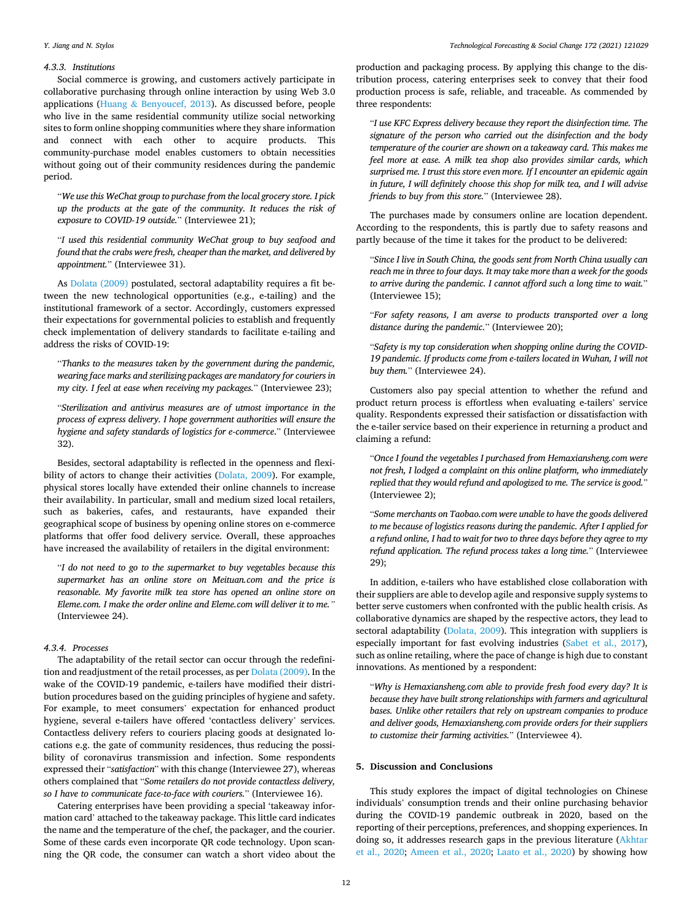#### *4.3.3. Institutions*

Social commerce is growing, and customers actively participate in collaborative purchasing through online interaction by using Web 3.0 applications (Huang & [Benyoucef, 2013\)](#page-17-0). As discussed before, people who live in the same residential community utilize social networking sites to form online shopping communities where they share information and connect with each other to acquire products. This community-purchase model enables customers to obtain necessities without going out of their community residences during the pandemic period.

"*We use this WeChat group to purchase from the local grocery store. I pick up the products at the gate of the community. It reduces the risk of exposure to COVID-19 outside.*" (Interviewee 21);

"*I used this residential community WeChat group to buy seafood and found that the crabs were fresh, cheaper than the market, and delivered by appointment.*" (Interviewee 31).

As [Dolata \(2009\)](#page-17-0) postulated, sectoral adaptability requires a fit between the new technological opportunities (e.g., e-tailing) and the institutional framework of a sector. Accordingly, customers expressed their expectations for governmental policies to establish and frequently check implementation of delivery standards to facilitate e-tailing and address the risks of COVID-19:

"*Thanks to the measures taken by the government during the pandemic, wearing face marks and sterilizing packages are mandatory for couriers in my city. I feel at ease when receiving my packages.*" (Interviewee 23);

"*Sterilization and antivirus measures are of utmost importance in the process of express delivery. I hope government authorities will ensure the hygiene and safety standards of logistics for e-commerce*." (Interviewee 32).

Besides, sectoral adaptability is reflected in the openness and flexibility of actors to change their activities ([Dolata, 2009](#page-17-0)). For example, physical stores locally have extended their online channels to increase their availability. In particular, small and medium sized local retailers, such as bakeries, cafes, and restaurants, have expanded their geographical scope of business by opening online stores on e-commerce platforms that offer food delivery service. Overall, these approaches have increased the availability of retailers in the digital environment:

"*I do not need to go to the supermarket to buy vegetables because this supermarket has an online store on Meituan.com and the price is reasonable. My favorite milk tea store has opened an online store on Eleme.com. I make the order online and Eleme.com will deliver it to me."*  (Interviewee 24).

#### *4.3.4. Processes*

The adaptability of the retail sector can occur through the redefinition and readjustment of the retail processes, as per [Dolata \(2009\).](#page-17-0) In the wake of the COVID-19 pandemic, e-tailers have modified their distribution procedures based on the guiding principles of hygiene and safety. For example, to meet consumers' expectation for enhanced product hygiene, several e-tailers have offered 'contactless delivery' services. Contactless delivery refers to couriers placing goods at designated locations e.g. the gate of community residences, thus reducing the possibility of coronavirus transmission and infection. Some respondents expressed their "*satisfaction*" with this change (Interviewee 27), whereas others complained that "*Some retailers do not provide contactless delivery, so I have to communicate face-to-face with couriers.*" (Interviewee 16).

Catering enterprises have been providing a special 'takeaway information card' attached to the takeaway package. This little card indicates the name and the temperature of the chef, the packager, and the courier. Some of these cards even incorporate QR code technology. Upon scanning the QR code, the consumer can watch a short video about the

production and packaging process. By applying this change to the distribution process, catering enterprises seek to convey that their food production process is safe, reliable, and traceable. As commended by three respondents:

"*I use KFC Express delivery because they report the disinfection time. The signature of the person who carried out the disinfection and the body temperature of the courier are shown on a takeaway card. This makes me feel more at ease. A milk tea shop also provides similar cards, which surprised me. I trust this store even more. If I encounter an epidemic again in future, I will definitely choose this shop for milk tea, and I will advise friends to buy from this store.*" (Interviewee 28).

The purchases made by consumers online are location dependent. According to the respondents, this is partly due to safety reasons and partly because of the time it takes for the product to be delivered:

"*Since I live in South China, the goods sent from North China usually can reach me in three to four days. It may take more than a week for the goods to arrive during the pandemic. I cannot afford such a long time to wait.*" (Interviewee 15);

"*For safety reasons, I am averse to products transported over a long distance during the pandemic.*" (Interviewee 20);

"*Safety is my top consideration when shopping online during the COVID-19 pandemic. If products come from e-tailers located in Wuhan, I will not buy them.*" (Interviewee 24).

Customers also pay special attention to whether the refund and product return process is effortless when evaluating e-tailers' service quality. Respondents expressed their satisfaction or dissatisfaction with the e-tailer service based on their experience in returning a product and claiming a refund:

"*Once I found the vegetables I purchased from Hemaxiansheng.com were not fresh, I lodged a complaint on this online platform, who immediately replied that they would refund and apologized to me. The service is good.*" (Interviewee 2);

"*Some merchants on Taobao.com were unable to have the goods delivered to me because of logistics reasons during the pandemic. After I applied for a refund online, I had to wait for two to three days before they agree to my refund application. The refund process takes a long time.*" (Interviewee 29);

In addition, e-tailers who have established close collaboration with their suppliers are able to develop agile and responsive supply systems to better serve customers when confronted with the public health crisis. As collaborative dynamics are shaped by the respective actors, they lead to sectoral adaptability [\(Dolata, 2009](#page-17-0)). This integration with suppliers is especially important for fast evolving industries [\(Sabet et al., 2017](#page-17-0)), such as online retailing, where the pace of change is high due to constant innovations. As mentioned by a respondent:

"*Why is Hemaxiansheng.com able to provide fresh food every day? It is because they have built strong relationships with farmers and agricultural bases. Unlike other retailers that rely on upstream companies to produce and deliver goods, Hemaxiansheng.com provide orders for their suppliers to customize their farming activities.*" (Interviewee 4).

## **5. Discussion and Conclusions**

This study explores the impact of digital technologies on Chinese individuals' consumption trends and their online purchasing behavior during the COVID-19 pandemic outbreak in 2020, based on the reporting of their perceptions, preferences, and shopping experiences. In doing so, it addresses research gaps in the previous literature ([Akhtar](#page-16-0)  [et al., 2020](#page-16-0); [Ameen et al., 2020;](#page-16-0) [Laato et al., 2020](#page-17-0)) by showing how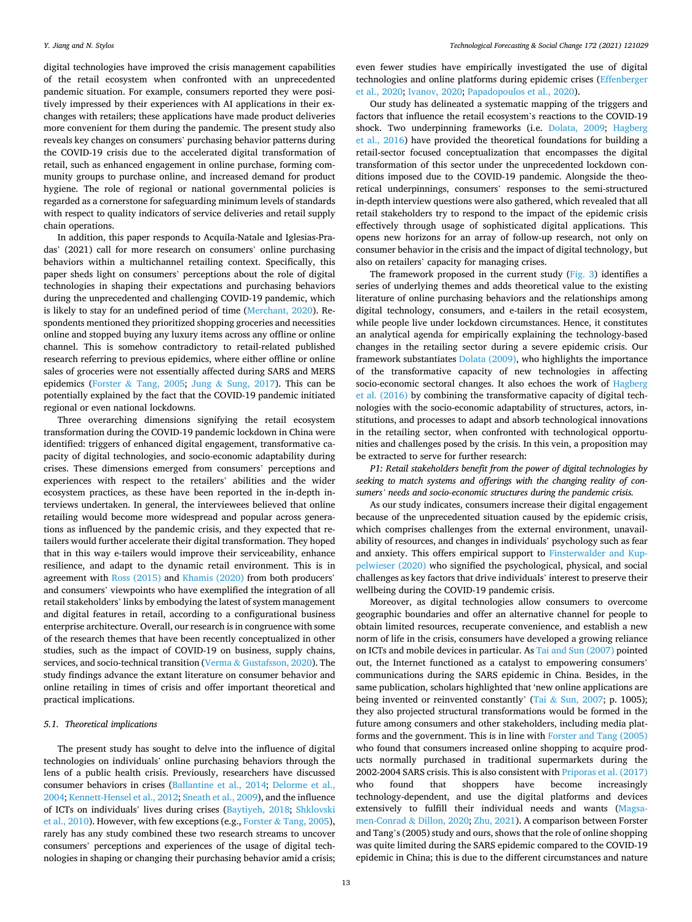digital technologies have improved the crisis management capabilities of the retail ecosystem when confronted with an unprecedented pandemic situation. For example, consumers reported they were positively impressed by their experiences with AI applications in their exchanges with retailers; these applications have made product deliveries more convenient for them during the pandemic. The present study also reveals key changes on consumers' purchasing behavior patterns during the COVID-19 crisis due to the accelerated digital transformation of retail, such as enhanced engagement in online purchase, forming community groups to purchase online, and increased demand for product hygiene. The role of regional or national governmental policies is regarded as a cornerstone for safeguarding minimum levels of standards with respect to quality indicators of service deliveries and retail supply chain operations.

In addition, this paper responds to Acquila-Natale and Iglesias-Pradas' (2021) call for more research on consumers' online purchasing behaviors within a multichannel retailing context. Specifically, this paper sheds light on consumers' perceptions about the role of digital technologies in shaping their expectations and purchasing behaviors during the unprecedented and challenging COVID-19 pandemic, which is likely to stay for an undefined period of time ([Merchant, 2020](#page-17-0)). Respondents mentioned they prioritized shopping groceries and necessities online and stopped buying any luxury items across any offline or online channel. This is somehow contradictory to retail-related published research referring to previous epidemics, where either offline or online sales of groceries were not essentially affected during SARS and MERS epidemics (Forster & [Tang, 2005](#page-17-0); Jung & [Sung, 2017\)](#page-17-0). This can be potentially explained by the fact that the COVID-19 pandemic initiated regional or even national lockdowns.

Three overarching dimensions signifying the retail ecosystem transformation during the COVID-19 pandemic lockdown in China were identified: triggers of enhanced digital engagement, transformative capacity of digital technologies, and socio-economic adaptability during crises. These dimensions emerged from consumers' perceptions and experiences with respect to the retailers' abilities and the wider ecosystem practices, as these have been reported in the in-depth interviews undertaken. In general, the interviewees believed that online retailing would become more widespread and popular across generations as influenced by the pandemic crisis, and they expected that retailers would further accelerate their digital transformation. They hoped that in this way e-tailers would improve their serviceability, enhance resilience, and adapt to the dynamic retail environment. This is in agreement with [Ross \(2015\)](#page-17-0) and [Khamis \(2020\)](#page-17-0) from both producers' and consumers' viewpoints who have exemplified the integration of all retail stakeholders' links by embodying the latest of system management and digital features in retail, according to a configurational business enterprise architecture. Overall, our research is in congruence with some of the research themes that have been recently conceptualized in other studies, such as the impact of COVID-19 on business, supply chains, services, and socio-technical transition (Verma & [Gustafsson, 2020\)](#page-17-0). The study findings advance the extant literature on consumer behavior and online retailing in times of crisis and offer important theoretical and practical implications.

#### *5.1. Theoretical implications*

The present study has sought to delve into the influence of digital technologies on individuals' online purchasing behaviors through the lens of a public health crisis. Previously, researchers have discussed consumer behaviors in crises [\(Ballantine et al., 2014](#page-16-0); [Delorme et al.,](#page-17-0)  [2004; Kennett-Hensel et al., 2012; Sneath et al., 2009\)](#page-17-0), and the influence of ICTs on individuals' lives during crises [\(Baytiyeh, 2018](#page-16-0); [Shklovski](#page-17-0)  [et al., 2010\)](#page-17-0). However, with few exceptions (e.g., Forster & [Tang, 2005](#page-17-0)), rarely has any study combined these two research streams to uncover consumers' perceptions and experiences of the usage of digital technologies in shaping or changing their purchasing behavior amid a crisis;

even fewer studies have empirically investigated the use of digital technologies and online platforms during epidemic crises ([Effenberger](#page-17-0)  [et al., 2020; Ivanov, 2020](#page-17-0); [Papadopoulos et al., 2020](#page-17-0)).

Our study has delineated a systematic mapping of the triggers and factors that influence the retail ecosystem's reactions to the COVID-19 shock. Two underpinning frameworks (i.e. [Dolata, 2009;](#page-17-0) [Hagberg](#page-17-0)  [et al., 2016](#page-17-0)) have provided the theoretical foundations for building a retail-sector focused conceptualization that encompasses the digital transformation of this sector under the unprecedented lockdown conditions imposed due to the COVID-19 pandemic. Alongside the theoretical underpinnings, consumers' responses to the semi-structured in-depth interview questions were also gathered, which revealed that all retail stakeholders try to respond to the impact of the epidemic crisis effectively through usage of sophisticated digital applications. This opens new horizons for an array of follow-up research, not only on consumer behavior in the crisis and the impact of digital technology, but also on retailers' capacity for managing crises.

The framework proposed in the current study ([Fig. 3\)](#page-6-0) identifies a series of underlying themes and adds theoretical value to the existing literature of online purchasing behaviors and the relationships among digital technology, consumers, and e-tailers in the retail ecosystem, while people live under lockdown circumstances. Hence, it constitutes an analytical agenda for empirically explaining the technology-based changes in the retailing sector during a severe epidemic crisis. Our framework substantiates [Dolata \(2009\),](#page-17-0) who highlights the importance of the transformative capacity of new technologies in affecting socio-economic sectoral changes. It also echoes the work of [Hagberg](#page-17-0)  [et al. \(2016\)](#page-17-0) by combining the transformative capacity of digital technologies with the socio-economic adaptability of structures, actors, institutions, and processes to adapt and absorb technological innovations in the retailing sector, when confronted with technological opportunities and challenges posed by the crisis. In this vein, a proposition may be extracted to serve for further research:

*P1: Retail stakeholders benefit from the power of digital technologies by seeking to match systems and offerings with the changing reality of consumers' needs and socio-economic structures during the pandemic crisis.* 

As our study indicates, consumers increase their digital engagement because of the unprecedented situation caused by the epidemic crisis, which comprises challenges from the external environment, unavailability of resources, and changes in individuals' psychology such as fear and anxiety. This offers empirical support to [Finsterwalder and Kup](#page-17-0)[pelwieser \(2020\)](#page-17-0) who signified the psychological, physical, and social challenges as key factors that drive individuals' interest to preserve their wellbeing during the COVID-19 pandemic crisis.

Moreover, as digital technologies allow consumers to overcome geographic boundaries and offer an alternative channel for people to obtain limited resources, recuperate convenience, and establish a new norm of life in the crisis, consumers have developed a growing reliance on ICTs and mobile devices in particular. As [Tai and Sun \(2007\)](#page-17-0) pointed out, the Internet functioned as a catalyst to empowering consumers' communications during the SARS epidemic in China. Besides, in the same publication, scholars highlighted that 'new online applications are being invented or reinvented constantly' (Tai & [Sun, 2007](#page-17-0); p. 1005); they also projected structural transformations would be formed in the future among consumers and other stakeholders, including media platforms and the government. This is in line with [Forster and Tang \(2005\)](#page-17-0)  who found that consumers increased online shopping to acquire products normally purchased in traditional supermarkets during the 2002-2004 SARS crisis. This is also consistent with [Priporas et al. \(2017\)](#page-17-0)  who found that shoppers have become increasingly technology-dependent, and use the digital platforms and devices extensively to fulfill their individual needs and wants ([Magsa](#page-17-0)[men-Conrad](#page-17-0) & Dillon, 2020; [Zhu, 2021\)](#page-18-0). A comparison between Forster and Tang's (2005) study and ours, shows that the role of online shopping was quite limited during the SARS epidemic compared to the COVID-19 epidemic in China; this is due to the different circumstances and nature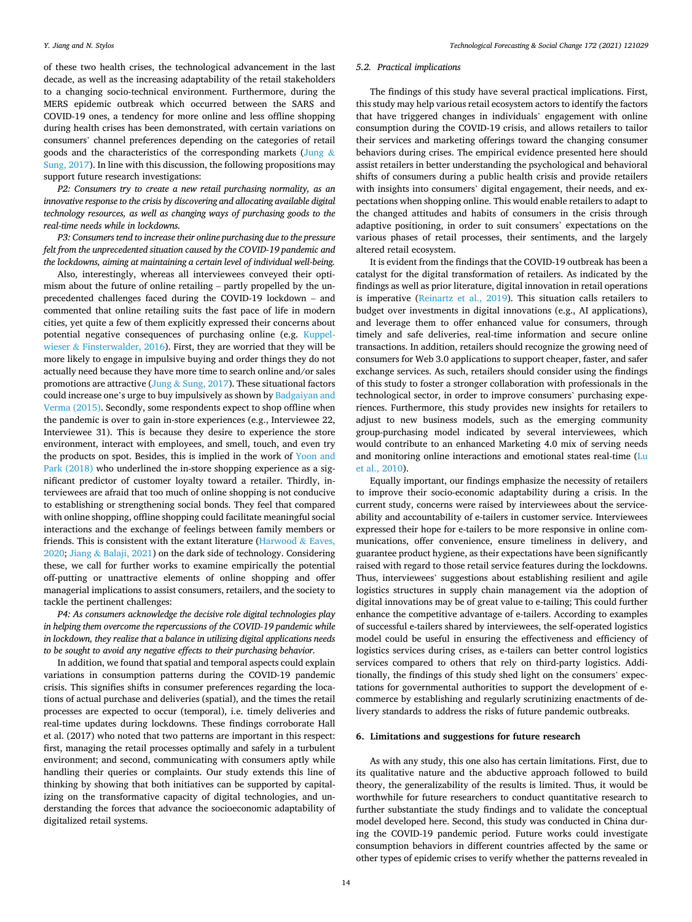of these two health crises, the technological advancement in the last decade, as well as the increasing adaptability of the retail stakeholders to a changing socio-technical environment. Furthermore, during the MERS epidemic outbreak which occurred between the SARS and COVID-19 ones, a tendency for more online and less offline shopping during health crises has been demonstrated, with certain variations on consumers' channel preferences depending on the categories of retail goods and the characteristics of the corresponding markets ([Jung](#page-17-0)  $\&$ [Sung, 2017\)](#page-17-0). In line with this discussion, the following propositions may support future research investigations:

*P2: Consumers try to create a new retail purchasing normality, as an innovative response to the crisis by discovering and allocating available digital technology resources, as well as changing ways of purchasing goods to the real-time needs while in lockdowns.* 

*P3: Consumers tend to increase their online purchasing due to the pressure felt from the unprecedented situation caused by the COVID-19 pandemic and the lockdowns, aiming at maintaining a certain level of individual well-being.* 

Also, interestingly, whereas all interviewees conveyed their optimism about the future of online retailing – partly propelled by the unprecedented challenges faced during the COVID-19 lockdown – and commented that online retailing suits the fast pace of life in modern cities, yet quite a few of them explicitly expressed their concerns about potential negative consequences of purchasing online (e.g. [Kuppel](#page-17-0)wieser & [Finsterwalder, 2016\)](#page-17-0). First, they are worried that they will be more likely to engage in impulsive buying and order things they do not actually need because they have more time to search online and/or sales promotions are attractive (Jung & [Sung, 2017\)](#page-17-0). These situational factors could increase one's urge to buy impulsively as shown by [Badgaiyan and](#page-16-0)  [Verma \(2015\).](#page-16-0) Secondly, some respondents expect to shop offline when the pandemic is over to gain in-store experiences (e.g., Interviewee 22, Interviewee 31). This is because they desire to experience the store environment, interact with employees, and smell, touch, and even try the products on spot. Besides, this is implied in the work of [Yoon and](#page-18-0)  [Park \(2018\)](#page-18-0) who underlined the in-store shopping experience as a significant predictor of customer loyalty toward a retailer. Thirdly, interviewees are afraid that too much of online shopping is not conducive to establishing or strengthening social bonds. They feel that compared with online shopping, offline shopping could facilitate meaningful social interactions and the exchange of feelings between family members or friends. This is consistent with the extant literature [\(Harwood](#page-17-0)  $\&$  Eaves, [2020;](#page-17-0) Jiang & [Balaji, 2021](#page-17-0)) on the dark side of technology. Considering these, we call for further works to examine empirically the potential off-putting or unattractive elements of online shopping and offer managerial implications to assist consumers, retailers, and the society to tackle the pertinent challenges:

*P4: As consumers acknowledge the decisive role digital technologies play in helping them overcome the repercussions of the COVID-19 pandemic while in lockdown, they realize that a balance in utilizing digital applications needs to be sought to avoid any negative effects to their purchasing behavior.* 

In addition, we found that spatial and temporal aspects could explain variations in consumption patterns during the COVID-19 pandemic crisis. This signifies shifts in consumer preferences regarding the locations of actual purchase and deliveries (spatial), and the times the retail processes are expected to occur (temporal), i.e. timely deliveries and real-time updates during lockdowns. These findings corroborate Hall et al. (2017) who noted that two patterns are important in this respect: first, managing the retail processes optimally and safely in a turbulent environment; and second, communicating with consumers aptly while handling their queries or complaints. Our study extends this line of thinking by showing that both initiatives can be supported by capitalizing on the transformative capacity of digital technologies, and understanding the forces that advance the socioeconomic adaptability of digitalized retail systems.

#### *5.2. Practical implications*

The findings of this study have several practical implications. First, this study may help various retail ecosystem actors to identify the factors that have triggered changes in individuals' engagement with online consumption during the COVID-19 crisis, and allows retailers to tailor their services and marketing offerings toward the changing consumer behaviors during crises. The empirical evidence presented here should assist retailers in better understanding the psychological and behavioral shifts of consumers during a public health crisis and provide retailers with insights into consumers' digital engagement, their needs, and expectations when shopping online. This would enable retailers to adapt to the changed attitudes and habits of consumers in the crisis through adaptive positioning, in order to suit consumers' expectations on the various phases of retail processes, their sentiments, and the largely altered retail ecosystem.

It is evident from the findings that the COVID-19 outbreak has been a catalyst for the digital transformation of retailers. As indicated by the findings as well as prior literature, digital innovation in retail operations is imperative ([Reinartz et al., 2019\)](#page-17-0). This situation calls retailers to budget over investments in digital innovations (e.g., AI applications), and leverage them to offer enhanced value for consumers, through timely and safe deliveries, real-time information and secure online transactions. In addition, retailers should recognize the growing need of consumers for Web 3.0 applications to support cheaper, faster, and safer exchange services. As such, retailers should consider using the findings of this study to foster a stronger collaboration with professionals in the technological sector, in order to improve consumers' purchasing experiences. Furthermore, this study provides new insights for retailers to adjust to new business models, such as the emerging community group-purchasing model indicated by several interviewees, which would contribute to an enhanced Marketing 4.0 mix of serving needs and monitoring online interactions and emotional states real-time ([Lu](#page-17-0)  [et al., 2010\)](#page-17-0).

Equally important, our findings emphasize the necessity of retailers to improve their socio-economic adaptability during a crisis. In the current study, concerns were raised by interviewees about the serviceability and accountability of e-tailers in customer service. Interviewees expressed their hope for e-tailers to be more responsive in online communications, offer convenience, ensure timeliness in delivery, and guarantee product hygiene, as their expectations have been significantly raised with regard to those retail service features during the lockdowns. Thus, interviewees' suggestions about establishing resilient and agile logistics structures in supply chain management via the adoption of digital innovations may be of great value to e-tailing; This could further enhance the competitive advantage of e-tailers. According to examples of successful e-tailers shared by interviewees, the self-operated logistics model could be useful in ensuring the effectiveness and efficiency of logistics services during crises, as e-tailers can better control logistics services compared to others that rely on third-party logistics. Additionally, the findings of this study shed light on the consumers' expectations for governmental authorities to support the development of ecommerce by establishing and regularly scrutinizing enactments of delivery standards to address the risks of future pandemic outbreaks.

#### **6. Limitations and suggestions for future research**

As with any study, this one also has certain limitations. First, due to its qualitative nature and the abductive approach followed to build theory, the generalizability of the results is limited. Thus, it would be worthwhile for future researchers to conduct quantitative research to further substantiate the study findings and to validate the conceptual model developed here. Second, this study was conducted in China during the COVID-19 pandemic period. Future works could investigate consumption behaviors in different countries affected by the same or other types of epidemic crises to verify whether the patterns revealed in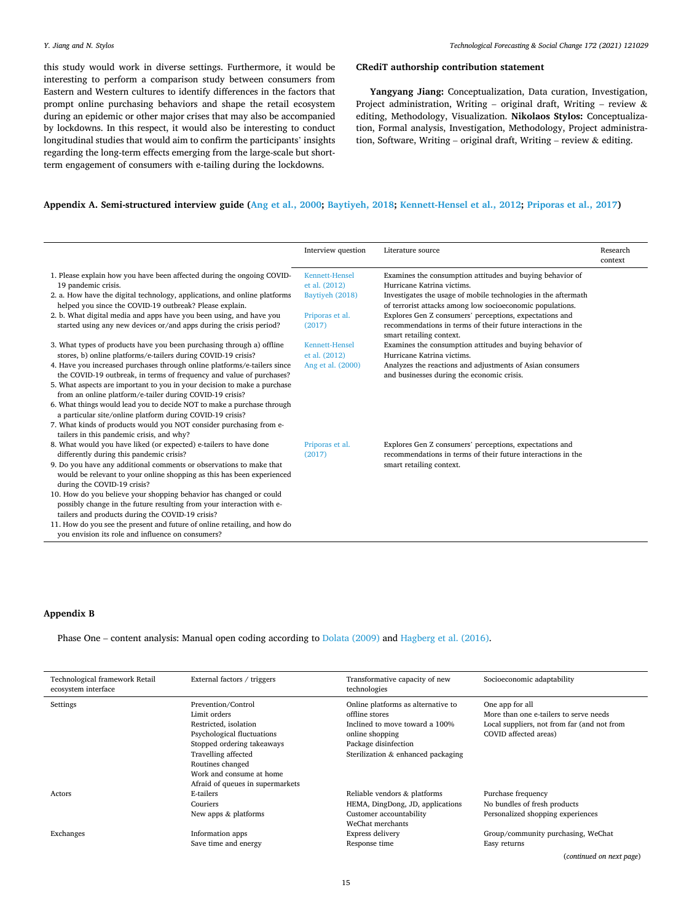*Technological Forecasting & Social Change 172 (2021) 121029*

<span id="page-14-0"></span>this study would work in diverse settings. Furthermore, it would be interesting to perform a comparison study between consumers from Eastern and Western cultures to identify differences in the factors that prompt online purchasing behaviors and shape the retail ecosystem during an epidemic or other major crises that may also be accompanied by lockdowns. In this respect, it would also be interesting to conduct longitudinal studies that would aim to confirm the participants' insights regarding the long-term effects emerging from the large-scale but shortterm engagement of consumers with e-tailing during the lockdowns.

#### **CRediT authorship contribution statement**

**Yangyang Jiang:** Conceptualization, Data curation, Investigation, Project administration, Writing – original draft, Writing – review  $\&$ editing, Methodology, Visualization. **Nikolaos Stylos:** Conceptualization, Formal analysis, Investigation, Methodology, Project administration, Software, Writing – original draft, Writing – review & editing.

## **Appendix A. Semi-structured interview guide ([Ang et al., 2000;](#page-16-0) [Baytiyeh, 2018](#page-16-0); [Kennett-Hensel et al., 2012;](#page-17-0) [Priporas et al., 2017\)](#page-17-0)**

|                                                                                                                  | Interview question                     | Literature source                                                                       | Research |
|------------------------------------------------------------------------------------------------------------------|----------------------------------------|-----------------------------------------------------------------------------------------|----------|
|                                                                                                                  |                                        |                                                                                         | context  |
| 1. Please explain how you have been affected during the ongoing COVID-<br>19 pandemic crisis.                    | <b>Kennett-Hensel</b><br>et al. (2012) | Examines the consumption attitudes and buying behavior of<br>Hurricane Katrina victims. |          |
| 2. a. How have the digital technology, applications, and online platforms                                        | Baytiyeh (2018)                        | Investigates the usage of mobile technologies in the aftermath                          |          |
| helped you since the COVID-19 outbreak? Please explain.                                                          |                                        | of terrorist attacks among low socioeconomic populations.                               |          |
| 2. b. What digital media and apps have you been using, and have you                                              | Priporas et al.                        | Explores Gen Z consumers' perceptions, expectations and                                 |          |
| started using any new devices or/and apps during the crisis period?                                              | (2017)                                 | recommendations in terms of their future interactions in the                            |          |
|                                                                                                                  |                                        | smart retailing context.                                                                |          |
| 3. What types of products have you been purchasing through a) offline                                            | <b>Kennett-Hensel</b>                  | Examines the consumption attitudes and buying behavior of                               |          |
| stores, b) online platforms/e-tailers during COVID-19 crisis?                                                    | et al. (2012)                          | Hurricane Katrina victims.                                                              |          |
| 4. Have you increased purchases through online platforms/e-tailers since                                         | Ang et al. (2000)                      | Analyzes the reactions and adjustments of Asian consumers                               |          |
| the COVID-19 outbreak, in terms of frequency and value of purchases?                                             |                                        | and businesses during the economic crisis.                                              |          |
| 5. What aspects are important to you in your decision to make a purchase                                         |                                        |                                                                                         |          |
| from an online platform/e-tailer during COVID-19 crisis?                                                         |                                        |                                                                                         |          |
| 6. What things would lead you to decide NOT to make a purchase through                                           |                                        |                                                                                         |          |
| a particular site/online platform during COVID-19 crisis?                                                        |                                        |                                                                                         |          |
| 7. What kinds of products would you NOT consider purchasing from e-<br>tailers in this pandemic crisis, and why? |                                        |                                                                                         |          |
| 8. What would you have liked (or expected) e-tailers to have done                                                | Priporas et al.                        | Explores Gen Z consumers' perceptions, expectations and                                 |          |
| differently during this pandemic crisis?                                                                         | (2017)                                 | recommendations in terms of their future interactions in the                            |          |
| 9. Do you have any additional comments or observations to make that                                              |                                        | smart retailing context.                                                                |          |
| would be relevant to your online shopping as this has been experienced                                           |                                        |                                                                                         |          |
| during the COVID-19 crisis?                                                                                      |                                        |                                                                                         |          |
| 10. How do you believe your shopping behavior has changed or could                                               |                                        |                                                                                         |          |
| possibly change in the future resulting from your interaction with e-                                            |                                        |                                                                                         |          |
| tailers and products during the COVID-19 crisis?                                                                 |                                        |                                                                                         |          |
| 11. How do you see the present and future of online retailing, and how do                                        |                                        |                                                                                         |          |
| you envision its role and influence on consumers?                                                                |                                        |                                                                                         |          |

#### **Appendix B**

Phase One – content analysis: Manual open coding according to [Dolata \(2009\)](#page-17-0) and [Hagberg et al. \(2016\)](#page-17-0).

| Technological framework Retail<br>ecosystem interface | External factors / triggers                                                                                                                                                                                                        | Transformative capacity of new<br>technologies                                                                                                                          | Socioeconomic adaptability                                                                                                        |
|-------------------------------------------------------|------------------------------------------------------------------------------------------------------------------------------------------------------------------------------------------------------------------------------------|-------------------------------------------------------------------------------------------------------------------------------------------------------------------------|-----------------------------------------------------------------------------------------------------------------------------------|
| Settings                                              | Prevention/Control<br>Limit orders<br>Restricted, isolation<br>Psychological fluctuations<br>Stopped ordering takeaways<br>Travelling affected<br>Routines changed<br>Work and consume at home<br>Afraid of queues in supermarkets | Online platforms as alternative to<br>offline stores<br>Inclined to move toward a 100%<br>online shopping<br>Package disinfection<br>Sterilization & enhanced packaging | One app for all<br>More than one e-tailers to serve needs<br>Local suppliers, not from far (and not from<br>COVID affected areas) |
| Actors                                                | E-tailers<br>Couriers<br>New apps & platforms                                                                                                                                                                                      | Reliable vendors & platforms<br>HEMA, DingDong, JD, applications<br>Customer accountability<br>WeChat merchants                                                         | Purchase frequency<br>No bundles of fresh products<br>Personalized shopping experiences                                           |
| Exchanges                                             | Information apps<br>Save time and energy                                                                                                                                                                                           | Express delivery<br>Response time                                                                                                                                       | Group/community purchasing, WeChat<br>Easy returns<br>$\sim$ $\sim$ $\sim$ $\sim$                                                 |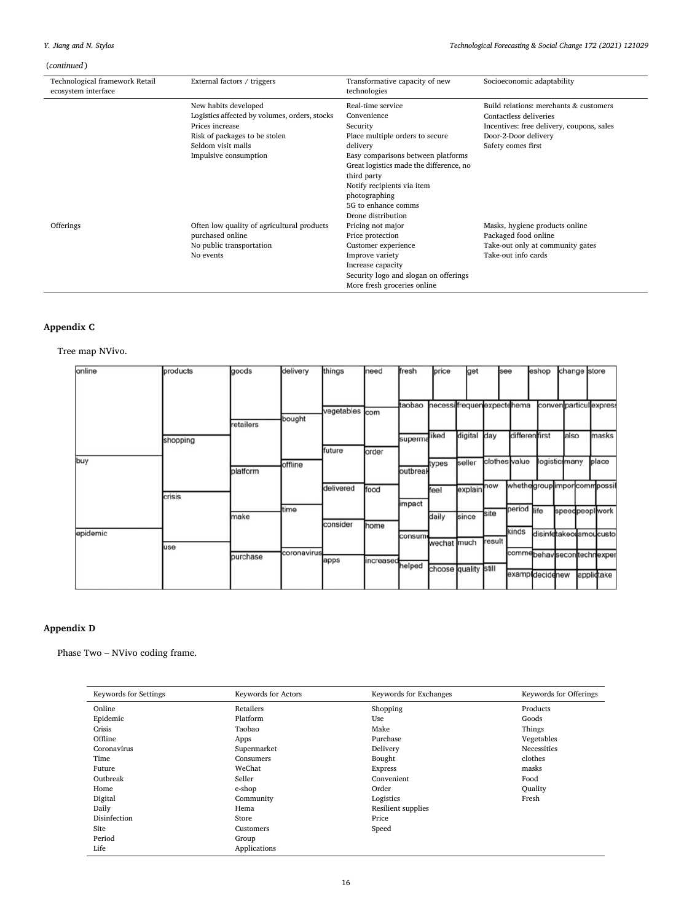# <span id="page-15-0"></span>(*continued* )

| Technological framework Retail<br>ecosystem interface | External factors / triggers                   | Transformative capacity of new<br>technologies | Socioeconomic adaptability                |  |  |  |  |
|-------------------------------------------------------|-----------------------------------------------|------------------------------------------------|-------------------------------------------|--|--|--|--|
|                                                       | New habits developed                          | Build relations: merchants & customers         |                                           |  |  |  |  |
|                                                       | Logistics affected by volumes, orders, stocks | Convenience                                    | Contactless deliveries                    |  |  |  |  |
|                                                       | Prices increase                               | Security                                       | Incentives: free delivery, coupons, sales |  |  |  |  |
|                                                       | Risk of packages to be stolen                 | Place multiple orders to secure                | Door-2-Door delivery                      |  |  |  |  |
|                                                       | Seldom visit malls                            | delivery                                       | Safety comes first                        |  |  |  |  |
|                                                       | Impulsive consumption                         | Easy comparisons between platforms             |                                           |  |  |  |  |
|                                                       |                                               | Great logistics made the difference, no        |                                           |  |  |  |  |
|                                                       |                                               | third party                                    |                                           |  |  |  |  |
|                                                       |                                               | Notify recipients via item                     |                                           |  |  |  |  |
|                                                       |                                               | photographing                                  |                                           |  |  |  |  |
|                                                       |                                               | 5G to enhance comms                            |                                           |  |  |  |  |
|                                                       |                                               | Drone distribution                             |                                           |  |  |  |  |
| Offerings                                             | Often low quality of agricultural products    | Pricing not major                              | Masks, hygiene products online            |  |  |  |  |
|                                                       | purchased online                              | Price protection                               | Packaged food online                      |  |  |  |  |
|                                                       | No public transportation                      | Customer experience                            | Take-out only at community gates          |  |  |  |  |
|                                                       | No events                                     | Improve variety                                | Take-out info cards                       |  |  |  |  |
|                                                       |                                               | Increase capacity                              |                                           |  |  |  |  |
|                                                       |                                               | Security logo and slogan on offerings          |                                           |  |  |  |  |
|                                                       |                                               | More fresh groceries online                    |                                           |  |  |  |  |

## **Appendix C**

Tree map NVivo.

|     | online   | products | goods     | delivery    | things     | need      | fresh    | price                     | get     | see           |                             | eshop                  | change store  |                         |
|-----|----------|----------|-----------|-------------|------------|-----------|----------|---------------------------|---------|---------------|-----------------------------|------------------------|---------------|-------------------------|
|     |          |          |           |             |            |           |          |                           |         |               |                             |                        |               |                         |
|     |          |          |           | bought      | vegetables | com       | taobao   | necessifrequenexpectehema |         |               |                             |                        |               | conven particul express |
|     |          |          | retailers |             |            |           |          | liked                     | digital | day           | differentfirst              |                        | also          | masks                   |
|     |          | shopping |           |             | future     | order     | superma  |                           |         |               |                             |                        |               |                         |
| buy |          |          | platform  | offline     |            |           | outbreal | types                     | seller  | clothes value |                             |                        | logisticsmany | place                   |
|     |          |          |           |             | delivered  |           |          |                           |         | now           | whethegrouplimporcommpossil |                        |               |                         |
|     |          | crisis   |           |             |            | food      | impact   | feel                      | explain |               |                             |                        |               |                         |
|     |          |          | make      | time        |            |           |          | daily                     | since   | site          | period life                 |                        |               | speedpeoplwork          |
|     | epidemic |          |           |             | consider   | home      | consum   |                           |         | result        | kinds                       | disinfetakeolamoucusto |               |                         |
|     |          | use      | purchase  | coronavirus |            |           |          | wechat                    | much    |               | commebehavsecontechnexper   |                        |               |                         |
|     |          |          |           |             | apps       | increased | helped   | choose quality still      |         |               | exampldecidenew             |                        |               | applictake              |
|     |          |          |           |             |            |           |          |                           |         |               |                             |                        |               |                         |

## **Appendix D**

Phase Two – NVivo coding frame.

| <b>Keywords for Settings</b> | <b>Keywords for Actors</b> | Keywords for Exchanges | Keywords for Offerings |
|------------------------------|----------------------------|------------------------|------------------------|
| Online                       | Retailers                  | Shopping               | Products               |
| Epidemic                     | Platform                   | Use                    | Goods                  |
| Crisis                       | Taobao                     | Make                   | Things                 |
| Offline                      | Apps                       | Purchase               | Vegetables             |
| Coronavirus                  | Supermarket                | Delivery               | Necessities            |
| Time                         | Bought<br>Consumers        |                        | clothes                |
| Future                       | WeChat                     | <b>Express</b>         | masks                  |
| Outbreak                     | Seller                     | Convenient             | Food                   |
| Home                         | e-shop                     | Order                  | Ouality                |
| Digital                      | Community                  | Logistics              | Fresh                  |
| Daily                        | Hema                       | Resilient supplies     |                        |
| Disinfection                 | Store                      | Price                  |                        |
| Site                         | Customers                  | Speed                  |                        |
| Period                       | Group                      |                        |                        |
| Life                         | Applications               |                        |                        |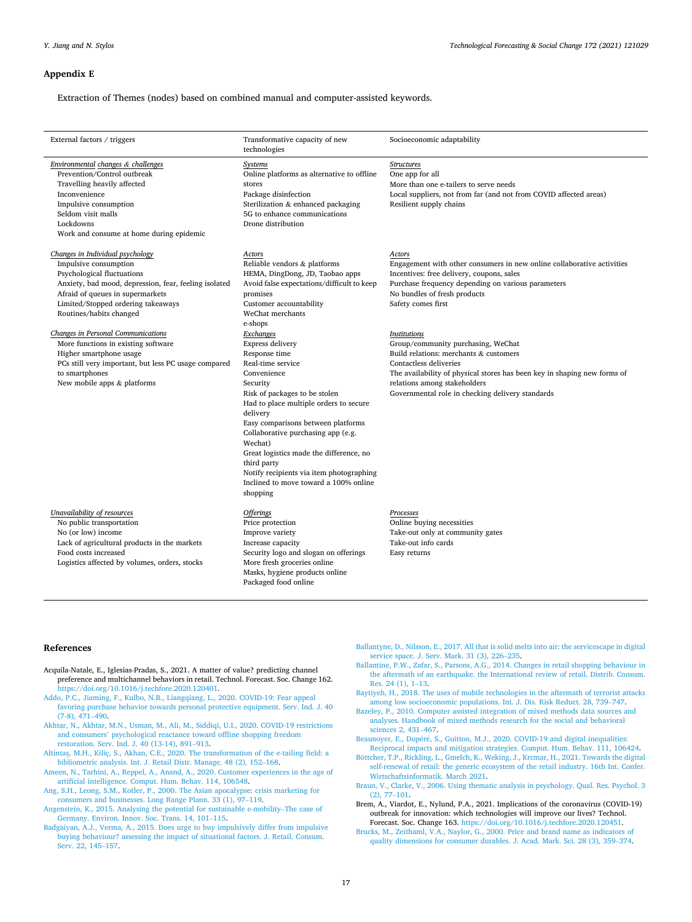#### <span id="page-16-0"></span>**Appendix E**

Extraction of Themes (nodes) based on combined manual and computer-assisted keywords.

| Socioeconomic adaptability                                                                                                                                                                                                                                                                                                                                                                                                                                                                                |
|-----------------------------------------------------------------------------------------------------------------------------------------------------------------------------------------------------------------------------------------------------------------------------------------------------------------------------------------------------------------------------------------------------------------------------------------------------------------------------------------------------------|
| One app for all<br>More than one e-tailers to serve needs<br>Local suppliers, not from far (and not from COVID affected areas)<br>Resilient supply chains                                                                                                                                                                                                                                                                                                                                                 |
| Engagement with other consumers in new online collaborative activities<br>Incentives: free delivery, coupons, sales<br>Purchase frequency depending on various parameters<br>No bundles of fresh products<br>Safety comes first<br>Group/community purchasing, WeChat<br>Build relations: merchants & customers<br>Contactless deliveries<br>The availability of physical stores has been key in shaping new forms of<br>relations among stakeholders<br>Governmental role in checking delivery standards |
| Online buying necessities<br>Take-out only at community gates<br>Take-out info cards<br>Easy returns                                                                                                                                                                                                                                                                                                                                                                                                      |
|                                                                                                                                                                                                                                                                                                                                                                                                                                                                                                           |

#### **References**

- Acquila-Natale, E., Iglesias-Pradas, S., 2021. A matter of value? predicting channel preference and multichannel behaviors in retail. Technol. Forecast. Soc. Change 162. [https://doi.org/10.1016/j.techfore.2020.120401.](https://doi.org/10.1016/j.techfore.2020.120401)
- [Addo, P.C., Jiaming, F., Kulbo, N.B., Liangqiang, L., 2020. COVID-19: Fear appeal](http://refhub.elsevier.com/S0040-1625(21)00461-3/sbref0002)  [favoring purchase behavior towards personal protective equipment. Serv. Ind. J. 40](http://refhub.elsevier.com/S0040-1625(21)00461-3/sbref0002)  [\(7-8\), 471](http://refhub.elsevier.com/S0040-1625(21)00461-3/sbref0002)–490.
- [Akhtar, N., Akhtar, M.N., Usman, M., Ali, M., Siddiqi, U.I., 2020. COVID-19 restrictions](http://refhub.elsevier.com/S0040-1625(21)00461-3/sbref0003)  and consumers' [psychological reactance toward offline shopping freedom](http://refhub.elsevier.com/S0040-1625(21)00461-3/sbref0003) [restoration. Serv. Ind. J. 40 \(13-14\), 891](http://refhub.elsevier.com/S0040-1625(21)00461-3/sbref0003)–913.
- [Altintas¸, M.H., Kiliç, S., Akhan, C.E., 2020. The transformation of the e-tailing field: a](http://refhub.elsevier.com/S0040-1625(21)00461-3/sbref0004) [bibliometric analysis. Int. J. Retail Distr. Manage. 48 \(2\), 152](http://refhub.elsevier.com/S0040-1625(21)00461-3/sbref0004)–168.
- [Ameen, N., Tarhini, A., Reppel, A., Anand, A., 2020. Customer experiences in the age of](http://refhub.elsevier.com/S0040-1625(21)00461-3/sbref0005)  [artificial intelligence. Comput. Hum. Behav. 114, 106548](http://refhub.elsevier.com/S0040-1625(21)00461-3/sbref0005).
- [Ang, S.H., Leong, S.M., Kotler, P., 2000. The Asian apocalypse: crisis marketing for](http://refhub.elsevier.com/S0040-1625(21)00461-3/sbref0006) [consumers and businesses. Long Range Plann. 33 \(1\), 97](http://refhub.elsevier.com/S0040-1625(21)00461-3/sbref0006)–119.
- [Augenstein, K., 2015. Analysing the potential for sustainable e-mobility](http://refhub.elsevier.com/S0040-1625(21)00461-3/sbref0007)–The case of [Germany. Environ. Innov. Soc. Trans. 14, 101](http://refhub.elsevier.com/S0040-1625(21)00461-3/sbref0007)–115.
- [Badgaiyan, A.J., Verma, A., 2015. Does urge to buy impulsively differ from impulsive](http://refhub.elsevier.com/S0040-1625(21)00461-3/sbref0008)  [buying behaviour? assessing the impact of situational factors. J. Retail. Consum.](http://refhub.elsevier.com/S0040-1625(21)00461-3/sbref0008) [Serv. 22, 145](http://refhub.elsevier.com/S0040-1625(21)00461-3/sbref0008)–157.
- [Ballantyne, D., Nilsson, E., 2017. All that is solid melts into air: the servicescape in digital](http://refhub.elsevier.com/S0040-1625(21)00461-3/sbref0009)  [service space. J. Serv. Mark. 31 \(3\), 226](http://refhub.elsevier.com/S0040-1625(21)00461-3/sbref0009)–235.
- [Ballantine, P.W., Zafar, S., Parsons, A.G., 2014. Changes in retail shopping behaviour in](http://refhub.elsevier.com/S0040-1625(21)00461-3/sbref0010)  [the aftermath of an earthquake. the International review of retail. Distrib. Consum.](http://refhub.elsevier.com/S0040-1625(21)00461-3/sbref0010)  [Res. 24 \(1\), 1](http://refhub.elsevier.com/S0040-1625(21)00461-3/sbref0010)–13.
- [Baytiyeh, H., 2018. The uses of mobile technologies in the aftermath of terrorist attacks](http://refhub.elsevier.com/S0040-1625(21)00461-3/sbref0011)  [among low socioeconomic populations. Int. J. Dis. Risk Reduct. 28, 739](http://refhub.elsevier.com/S0040-1625(21)00461-3/sbref0011)–747.
- [Bazeley, P., 2010. Computer assisted integration of mixed methods data sources and](http://refhub.elsevier.com/S0040-1625(21)00461-3/sbref0012)  [analyses. Handbook of mixed methods research for the social and behavioral](http://refhub.elsevier.com/S0040-1625(21)00461-3/sbref0012) [sciences 2, 431](http://refhub.elsevier.com/S0040-1625(21)00461-3/sbref0012)–467.
- Beaunoyer, E., Dupéré, S., Guitton, M.J., 2020. COVID-19 and digital inequalities:
- [Reciprocal impacts and mitigation strategies. Comput. Hum. Behav. 111, 106424](http://refhub.elsevier.com/S0040-1625(21)00461-3/sbref0013). Böttcher, T.P., Rickling, L., Gmelch, K., Weking, J., Krcmar, H., 2021. Towards the digital [self-renewal of retail: the generic ecosystem of the retail industry. 16th Int. Confer.](http://refhub.elsevier.com/S0040-1625(21)00461-3/sbref0014)  [Wirtschaftsinformatik. March 2021](http://refhub.elsevier.com/S0040-1625(21)00461-3/sbref0014).
- [Braun, V., Clarke, V., 2006. Using thematic analysis in psychology. Qual. Res. Psychol. 3](http://refhub.elsevier.com/S0040-1625(21)00461-3/sbref0015)  [\(2\), 77](http://refhub.elsevier.com/S0040-1625(21)00461-3/sbref0015)–101.
- Brem, A., Viardot, E., Nylund, P.A., 2021. Implications of the coronavirus (COVID-19) outbreak for innovation: which technologies will improve our lives? Technol. Forecast. Soc. Change 163.<https://doi.org/10.1016/j.techfore.2020.120451>.
- [Brucks, M., Zeithaml, V.A., Naylor, G., 2000. Price and brand name as indicators of](http://refhub.elsevier.com/S0040-1625(21)00461-3/sbref0017)  [quality dimensions for consumer durables. J. Acad. Mark. Sci. 28 \(3\), 359](http://refhub.elsevier.com/S0040-1625(21)00461-3/sbref0017)–374.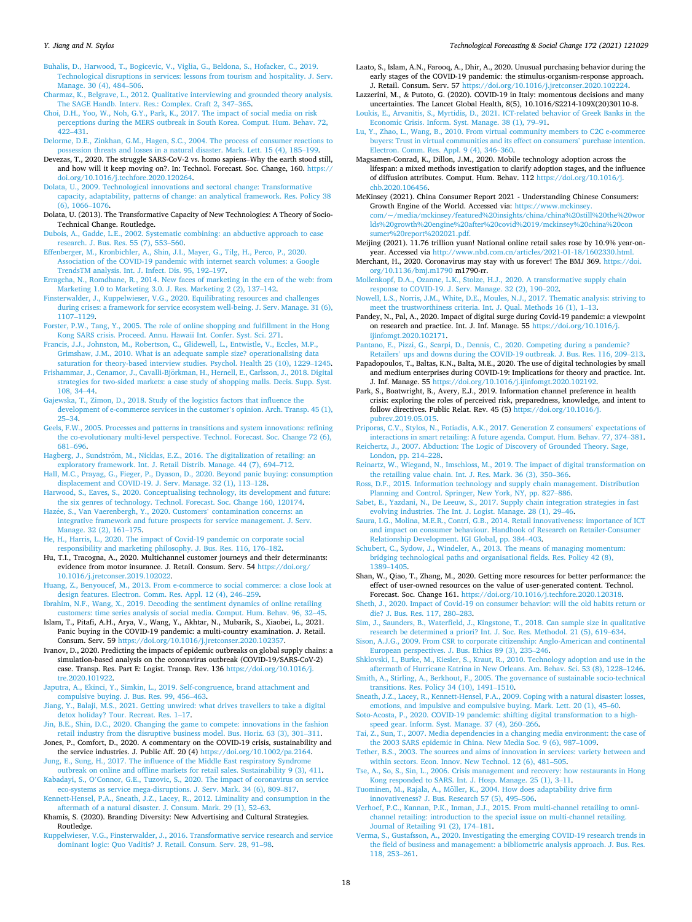- <span id="page-17-0"></span>[Buhalis, D., Harwood, T., Bogicevic, V., Viglia, G., Beldona, S., Hofacker, C., 2019.](http://refhub.elsevier.com/S0040-1625(21)00461-3/sbref0018) [Technological disruptions in services: lessons from tourism and hospitality. J. Serv.](http://refhub.elsevier.com/S0040-1625(21)00461-3/sbref0018)  [Manage. 30 \(4\), 484](http://refhub.elsevier.com/S0040-1625(21)00461-3/sbref0018)–506.
- [Charmaz, K., Belgrave, L., 2012. Qualitative interviewing and grounded theory analysis.](http://refhub.elsevier.com/S0040-1625(21)00461-3/sbref0019)  [The SAGE Handb. Interv. Res.: Complex. Craft 2, 347](http://refhub.elsevier.com/S0040-1625(21)00461-3/sbref0019)–365.
- [Choi, D.H., Yoo, W., Noh, G.Y., Park, K., 2017. The impact of social media on risk](http://refhub.elsevier.com/S0040-1625(21)00461-3/sbref0020) [perceptions during the MERS outbreak in South Korea. Comput. Hum. Behav. 72,](http://refhub.elsevier.com/S0040-1625(21)00461-3/sbref0020)  422–[431](http://refhub.elsevier.com/S0040-1625(21)00461-3/sbref0020).
- [Delorme, D.E., Zinkhan, G.M., Hagen, S.C., 2004. The process of consumer reactions to](http://refhub.elsevier.com/S0040-1625(21)00461-3/sbref0021)  [possession threats and losses in a natural disaster. Mark. Lett. 15 \(4\), 185](http://refhub.elsevier.com/S0040-1625(21)00461-3/sbref0021)–199.
- Devezas, T., 2020. The struggle SARS-CoV-2 vs. homo sapiens–Why the earth stood still, and how will it keep moving on?. In: Technol. Forecast. Soc. Change, 160. [https://](https://doi.org/10.1016/j.techfore.2020.120264)  [doi.org/10.1016/j.techfore.2020.120264](https://doi.org/10.1016/j.techfore.2020.120264).
- [Dolata, U., 2009. Technological innovations and sectoral change: Transformative](http://refhub.elsevier.com/S0040-1625(21)00461-3/sbref0023)  [capacity, adaptability, patterns of change: an analytical framework. Res. Policy 38](http://refhub.elsevier.com/S0040-1625(21)00461-3/sbref0023) [\(6\), 1066](http://refhub.elsevier.com/S0040-1625(21)00461-3/sbref0023)–1076.
- Dolata, U. (2013). The Transformative Capacity of New Technologies: A Theory of Socio-Technical Change. Routledge.
- [Dubois, A., Gadde, L.E., 2002. Systematic combining: an abductive approach to case](http://refhub.elsevier.com/S0040-1625(21)00461-3/sbref0025)  [research. J. Bus. Res. 55 \(7\), 553](http://refhub.elsevier.com/S0040-1625(21)00461-3/sbref0025)–560.
- [Effenberger, M., Kronbichler, A., Shin, J.I., Mayer, G., Tilg, H., Perco, P., 2020.](http://refhub.elsevier.com/S0040-1625(21)00461-3/sbref0026) [Association of the COVID-19 pandemic with internet search volumes: a Google](http://refhub.elsevier.com/S0040-1625(21)00461-3/sbref0026)  [TrendsTM analysis. Int. J. Infect. Dis. 95, 192](http://refhub.elsevier.com/S0040-1625(21)00461-3/sbref0026)–197.
- [Erragcha, N., Romdhane, R., 2014. New faces of marketing in the era of the web: from](http://refhub.elsevier.com/S0040-1625(21)00461-3/sbref0027) [Marketing 1.0 to Marketing 3.0. J. Res. Marketing 2 \(2\), 137](http://refhub.elsevier.com/S0040-1625(21)00461-3/sbref0027)–142.
- Finsterwalder, J., Kuppelwieser, V.G., 2020. Equilibrating resources and challenge [during crises: a framework for service ecosystem well-being. J. Serv. Manage. 31 \(6\),](http://refhub.elsevier.com/S0040-1625(21)00461-3/sbref0028)  [1107](http://refhub.elsevier.com/S0040-1625(21)00461-3/sbref0028)–1129.
- [Forster, P.W., Tang, Y., 2005. The role of online shopping and fulfillment in the Hong](http://refhub.elsevier.com/S0040-1625(21)00461-3/sbref0029)  [Kong SARS crisis. Proceed. Annu. Hawaii Int. Confer. Syst. Sci. 271](http://refhub.elsevier.com/S0040-1625(21)00461-3/sbref0029).
- [Francis, J.J., Johnston, M., Robertson, C., Glidewell, L., Entwistle, V., Eccles, M.P.,](http://refhub.elsevier.com/S0040-1625(21)00461-3/sbref0030) [Grimshaw, J.M., 2010. What is an adequate sample size? operationalising data](http://refhub.elsevier.com/S0040-1625(21)00461-3/sbref0030)  [saturation for theory-based interview studies. Psychol. Health 25 \(10\), 1229](http://refhub.elsevier.com/S0040-1625(21)00461-3/sbref0030)–1245.
- [Frishammar, J., Cenamor, J., Cavalli-Bjorkman, H., Hernell, E., Carlsson, J., 2018. Digital](http://refhub.elsevier.com/S0040-1625(21)00461-3/sbref0031) ¨ [strategies for two-sided markets: a case study of shopping malls. Decis. Supp. Syst.](http://refhub.elsevier.com/S0040-1625(21)00461-3/sbref0031)  [108, 34](http://refhub.elsevier.com/S0040-1625(21)00461-3/sbref0031)–44.
- [Gajewska, T., Zimon, D., 2018. Study of the logistics factors that influence the](http://refhub.elsevier.com/S0040-1625(21)00461-3/sbref0032)  [development of e-commerce services in the customer](http://refhub.elsevier.com/S0040-1625(21)00461-3/sbref0032)'s opinion. Arch. Transp. 45 (1), 25–[34](http://refhub.elsevier.com/S0040-1625(21)00461-3/sbref0032).
- [Geels, F.W., 2005. Processes and patterns in transitions and system innovations: refining](http://refhub.elsevier.com/S0040-1625(21)00461-3/sbref0033)  [the co-evolutionary multi-level perspective. Technol. Forecast. Soc. Change 72 \(6\),](http://refhub.elsevier.com/S0040-1625(21)00461-3/sbref0033)  681–[696](http://refhub.elsevier.com/S0040-1625(21)00461-3/sbref0033).
- Hagberg, J., Sundström, M., Nicklas, E.Z., 2016. The digitalization of retailing: an [exploratory framework. Int. J. Retail Distrib. Manage. 44 \(7\), 694](http://refhub.elsevier.com/S0040-1625(21)00461-3/sbref0034)–712.
- [Hall, M.C., Prayag, G., Fieger, P., Dyason, D., 2020. Beyond panic buying: consumption](http://refhub.elsevier.com/S0040-1625(21)00461-3/sbref0035)  [displacement and COVID-19. J. Serv. Manage. 32 \(1\), 113](http://refhub.elsevier.com/S0040-1625(21)00461-3/sbref0035)–128.
- [Harwood, S., Eaves, S., 2020. Conceptualising technology, its development and future:](http://refhub.elsevier.com/S0040-1625(21)00461-3/sbref0036)  [the six genres of technology. Technol. Forecast. Soc. Change 160, 120174](http://refhub.elsevier.com/S0040-1625(21)00461-3/sbref0036).
- Haz´[ee, S., Van Vaerenbergh, Y., 2020. Customers](http://refhub.elsevier.com/S0040-1625(21)00461-3/sbref0037)' contamination concerns: an [integrative framework and future prospects for service management. J. Serv.](http://refhub.elsevier.com/S0040-1625(21)00461-3/sbref0037)  [Manage. 32 \(2\), 161](http://refhub.elsevier.com/S0040-1625(21)00461-3/sbref0037)–175.
- [He, H., Harris, L., 2020. The impact of Covid-19 pandemic on corporate social](http://refhub.elsevier.com/S0040-1625(21)00461-3/sbref0038) [responsibility and marketing philosophy. J. Bus. Res. 116, 176](http://refhub.elsevier.com/S0040-1625(21)00461-3/sbref0038)–182.
- Hu, T.I., Tracogna, A., 2020. Multichannel customer journeys and their determinants: evidence from motor insurance. J. Retail. Consum. Serv. 54 [https://doi.org/](https://doi.org/10.1016/j.jretconser.2019.102022) [10.1016/j.jretconser.2019.102022.](https://doi.org/10.1016/j.jretconser.2019.102022)
- [Huang, Z., Benyoucef, M., 2013. From e-commerce to social commerce: a close look at](http://refhub.elsevier.com/S0040-1625(21)00461-3/sbref0040)  [design features. Electron. Comm. Res. Appl. 12 \(4\), 246](http://refhub.elsevier.com/S0040-1625(21)00461-3/sbref0040)–259.
- [Ibrahim, N.F., Wang, X., 2019. Decoding the sentiment dynamics of online retailing](http://refhub.elsevier.com/S0040-1625(21)00461-3/sbref0041) [customers: time series analysis of social media. Comput. Hum. Behav. 96, 32](http://refhub.elsevier.com/S0040-1625(21)00461-3/sbref0041)–45.
- Islam, T., Pitafi, A.H., Arya, V., Wang, Y., Akhtar, N., Mubarik, S., Xiaobei, L., 2021. Panic buying in the COVID-19 pandemic: a multi-country examination. J. Retail. Consum. Serv. 59 <https://doi.org/10.1016/j.jretconser.2020.102357>.
- Ivanov, D., 2020. Predicting the impacts of epidemic outbreaks on global supply chains: a simulation-based analysis on the coronavirus outbreak (COVID-19/SARS-CoV-2) case. Transp. Res. Part E: Logist. Transp. Rev. 136 [https://doi.org/10.1016/j.](https://doi.org/10.1016/j.tre.2020.101922) [tre.2020.101922.](https://doi.org/10.1016/j.tre.2020.101922)
- [Japutra, A., Ekinci, Y., Simkin, L., 2019. Self-congruence, brand attachment and](http://refhub.elsevier.com/S0040-1625(21)00461-3/sbref0044)  [compulsive buying. J. Bus. Res. 99, 456](http://refhub.elsevier.com/S0040-1625(21)00461-3/sbref0044)–463.
- [Jiang, Y., Balaji, M.S., 2021. Getting unwired: what drives travellers to take a digital](http://refhub.elsevier.com/S0040-1625(21)00461-3/sbref0045) [detox holiday? Tour. Recreat. Res. 1](http://refhub.elsevier.com/S0040-1625(21)00461-3/sbref0045)–17.
- [Jin, B.E., Shin, D.C., 2020. Changing the game to compete: innovations in the fashion](http://refhub.elsevier.com/S0040-1625(21)00461-3/sbref0046)  [retail industry from the disruptive business model. Bus. Horiz. 63 \(3\), 301](http://refhub.elsevier.com/S0040-1625(21)00461-3/sbref0046)–311.
- Jones, P., Comfort, D., 2020. A commentary on the COVID-19 crisis, sustainability and the service industries. J. Public Aff. 20 (4) <https://doi.org/10.1002/pa.2164>.
- [Jung, E., Sung, H., 2017. The influence of the Middle East respiratory Syndrome](http://refhub.elsevier.com/S0040-1625(21)00461-3/sbref0048)  [outbreak on online and offline markets for retail sales. Sustainability 9 \(3\), 411.](http://refhub.elsevier.com/S0040-1625(21)00461-3/sbref0048) Kabadayi, S., O'[Connor, G.E., Tuzovic, S., 2020. The impact of coronavirus on service](http://refhub.elsevier.com/S0040-1625(21)00461-3/sbref0049)
- [eco-systems as service mega-disruptions. J. Serv. Mark. 34 \(6\), 809](http://refhub.elsevier.com/S0040-1625(21)00461-3/sbref0049)–817. [Kennett-Hensel, P.A., Sneath, J.Z., Lacey, R., 2012. Liminality and consumption in the](http://refhub.elsevier.com/S0040-1625(21)00461-3/sbref0050)
- [aftermath of a natural disaster. J. Consum. Mark. 29 \(1\), 52](http://refhub.elsevier.com/S0040-1625(21)00461-3/sbref0050)–63. Khamis, S. (2020). Branding Diversity: New Advertising and Cultural Strategies. Routledge.
- [Kuppelwieser, V.G., Finsterwalder, J., 2016. Transformative service research and service](http://refhub.elsevier.com/S0040-1625(21)00461-3/sbref0052)  [dominant logic: Quo Vaditis? J. Retail. Consum. Serv. 28, 91](http://refhub.elsevier.com/S0040-1625(21)00461-3/sbref0052)–98.
- Laato, S., Islam, A.N., Farooq, A., Dhir, A., 2020. Unusual purchasing behavior during the early stages of the COVID-19 pandemic: the stimulus-organism-response approach. J. Retail. Consum. Serv. 57 https://doi.org/10.1016/j.jretconser.2020.1022
- Lazzerini, M., & Putoto, G. (2020). COVID-19 in Italy: momentous decisions and many uncertainties. The Lancet Global Health, 8(5), 10.1016/S2214-109X(20)30110-8.
- [Loukis, E., Arvanitis, S., Myrtidis, D., 2021. ICT-related behavior of Greek Banks in the](http://refhub.elsevier.com/S0040-1625(21)00461-3/sbref0055) [Economic Crisis. Inform. Syst. Manage. 38 \(1\), 79](http://refhub.elsevier.com/S0040-1625(21)00461-3/sbref0055)–91.
- [Lu, Y., Zhao, L., Wang, B., 2010. From virtual community members to C2C e-commerce](http://refhub.elsevier.com/S0040-1625(21)00461-3/sbref0056)  [buyers: Trust in virtual communities and its effect on consumers](http://refhub.elsevier.com/S0040-1625(21)00461-3/sbref0056)' purchase intention. [Electron. Comm. Res. Appl. 9 \(4\), 346](http://refhub.elsevier.com/S0040-1625(21)00461-3/sbref0056)–360.
- Magsamen-Conrad, K., Dillon, J.M., 2020. Mobile technology adoption across the lifespan: a mixed methods investigation to clarify adoption stages, and the influence of diffusion attributes. Comput. Hum. Behav. 112 [https://doi.org/10.1016/j.](https://doi.org/10.1016/j.chb.2020.106456)  [chb.2020.106456](https://doi.org/10.1016/j.chb.2020.106456).
- McKinsey (2021). China Consumer Report 2021 Understanding Chinese Consumers: Growth Engine of the World. Accessed via: [https://www.mckinsey.](https://www.mckinsey.com/~/media/mckinsey/featured%20insights/china/china%20still%20the%20worlds%20growth%20engine%20after%20covid%2019/mckinsey%20china%20consumer%20report%202021.pdf) [com/~/media/mckinsey/featured%20insights/china/china%20still%20the%20wor](https://www.mckinsey.com/~/media/mckinsey/featured%20insights/china/china%20still%20the%20worlds%20growth%20engine%20after%20covid%2019/mckinsey%20china%20consumer%20report%202021.pdf) [lds%20growth%20engine%20after%20covid%2019/mckinsey%20china%20con](https://www.mckinsey.com/~/media/mckinsey/featured%20insights/china/china%20still%20the%20worlds%20growth%20engine%20after%20covid%2019/mckinsey%20china%20consumer%20report%202021.pdf)  [sumer%20report%202021.pdf.](https://www.mckinsey.com/~/media/mckinsey/featured%20insights/china/china%20still%20the%20worlds%20growth%20engine%20after%20covid%2019/mckinsey%20china%20consumer%20report%202021.pdf)
- Meijing (2021). 11.76 trillion yuan! National online retail sales rose by 10.9% year-onyear. Accessed via [http://www.nbd.com.cn/articles/2021-01-18/1602330.html.](http://www.nbd.com.cn/articles/2021-01-18/1602330.html)
- Merchant, H., 2020. Coronavirus may stay with us forever! The BMJ 369. [https://doi.](https://doi.org/10.1136/bmj.m1790)  [org/10.1136/bmj.m1790](https://doi.org/10.1136/bmj.m1790) m1790-rr.
- [Mollenkopf, D.A., Ozanne, L.K., Stolze, H.J., 2020. A transformative supply chain](http://refhub.elsevier.com/S0040-1625(21)00461-3/sbref0062) [response to COVID-19. J. Serv. Manage. 32 \(2\), 190](http://refhub.elsevier.com/S0040-1625(21)00461-3/sbref0062)–202.
- [Nowell, L.S., Norris, J.M., White, D.E., Moules, N.J., 2017. Thematic analysis: striving to](http://refhub.elsevier.com/S0040-1625(21)00461-3/sbref0063)  [meet the trustworthiness criteria. Int. J. Qual. Methods 16 \(1\), 1](http://refhub.elsevier.com/S0040-1625(21)00461-3/sbref0063)–13.
- Pandey, N., Pal, A., 2020. Impact of digital surge during Covid-19 pandemic: a viewpoint on research and practice. Int. J. Inf. Manage. 55 [https://doi.org/10.1016/j.](https://doi.org/10.1016/j.ijinfomgt.2020.102171)  [ijinfomgt.2020.102171.](https://doi.org/10.1016/j.ijinfomgt.2020.102171)
- [Pantano, E., Pizzi, G., Scarpi, D., Dennis, C., 2020. Competing during a pandemic?](http://refhub.elsevier.com/S0040-1625(21)00461-3/sbref0065)  Retailers' [ups and downs during the COVID-19 outbreak. J. Bus. Res. 116, 209](http://refhub.elsevier.com/S0040-1625(21)00461-3/sbref0065)–213.
- Papadopoulos, T., Baltas, K.N., Balta, M.E., 2020. The use of digital technologies by small and medium enterprises during COVID-19: Implications for theory and practice. Int. J. Inf. Manage. 55 <https://doi.org/10.1016/j.ijinfomgt.2020.102192>.
- Park, S., Boatwright, B., Avery, E.J., 2019. Information channel preference in health crisis: exploring the roles of perceived risk, preparedness, knowledge, and intent to follow directives. Public Relat. Rev. 45 (5) [https://doi.org/10.1016/j.](https://doi.org/10.1016/j.pubrev.2019.05.015)  [pubrev.2019.05.015.](https://doi.org/10.1016/j.pubrev.2019.05.015)
- [Priporas, C.V., Stylos, N., Fotiadis, A.K., 2017. Generation Z consumers](http://refhub.elsevier.com/S0040-1625(21)00461-3/sbref0068)' expectations of [interactions in smart retailing: A future agenda. Comput. Hum. Behav. 77, 374](http://refhub.elsevier.com/S0040-1625(21)00461-3/sbref0068)–381.
- [Reichertz, J., 2007. Abduction: The Logic of Discovery of Grounded Theory. Sage,](http://refhub.elsevier.com/S0040-1625(21)00461-3/sbref0069) [London, pp. 214](http://refhub.elsevier.com/S0040-1625(21)00461-3/sbref0069)–228.
- [Reinartz, W., Wiegand, N., Imschloss, M., 2019. The impact of digital transformation on](http://refhub.elsevier.com/S0040-1625(21)00461-3/sbref0070)  [the retailing value chain. Int. J. Res. Mark. 36 \(3\), 350](http://refhub.elsevier.com/S0040-1625(21)00461-3/sbref0070)–366.
- [Ross, D.F., 2015. Information technology and supply chain management. Distribution](http://refhub.elsevier.com/S0040-1625(21)00461-3/sbref0071)  [Planning and Control. Springer, New York, NY, pp. 827](http://refhub.elsevier.com/S0040-1625(21)00461-3/sbref0071)–886.
- [Sabet, E., Yazdani, N., De Leeuw, S., 2017. Supply chain integration strategies in fast](http://refhub.elsevier.com/S0040-1625(21)00461-3/sbref0072)  [evolving industries. The Int. J. Logist. Manage. 28 \(1\), 29](http://refhub.elsevier.com/S0040-1625(21)00461-3/sbref0072)–46.
- [Saura, I.G., Molina, M.E.R., Contrí, G.B., 2014. Retail innovativeness: importance of ICT](http://refhub.elsevier.com/S0040-1625(21)00461-3/sbref0073)  [and impact on consumer behaviour. Handbook of Research on Retailer-Consumer](http://refhub.elsevier.com/S0040-1625(21)00461-3/sbref0073) [Relationship Development. IGI Global, pp. 384](http://refhub.elsevier.com/S0040-1625(21)00461-3/sbref0073)–403.
- [Schubert, C., Sydow, J., Windeler, A., 2013. The means of managing momentum:](http://refhub.elsevier.com/S0040-1625(21)00461-3/sbref0074)  [bridging technological paths and organisational fields. Res. Policy 42 \(8\),](http://refhub.elsevier.com/S0040-1625(21)00461-3/sbref0074) [1389](http://refhub.elsevier.com/S0040-1625(21)00461-3/sbref0074)–1405.
- Shan, W., Qiao, T., Zhang, M., 2020. Getting more resources for better performance: the effect of user-owned resources on the value of user-generated content. Technol. Forecast. Soc. Change 161.<https://doi.org/10.1016/j.techfore.2020.120318>.
- [Sheth, J., 2020. Impact of Covid-19 on consumer behavior: will the old habits return or](http://refhub.elsevier.com/S0040-1625(21)00461-3/sbref0076)  [die? J. Bus. Res. 117, 280](http://refhub.elsevier.com/S0040-1625(21)00461-3/sbref0076)–283.
- [Sim, J., Saunders, B., Waterfield, J., Kingstone, T., 2018. Can sample size in qualitative](http://refhub.elsevier.com/S0040-1625(21)00461-3/sbref0077)  [research be determined a priori? Int. J. Soc. Res. Methodol. 21 \(5\), 619](http://refhub.elsevier.com/S0040-1625(21)00461-3/sbref0077)–634.
- [Sison, A.J.G., 2009. From CSR to corporate citizenship: Anglo-American and continental](http://refhub.elsevier.com/S0040-1625(21)00461-3/sbref0078)  [European perspectives. J. Bus. Ethics 89 \(3\), 235](http://refhub.elsevier.com/S0040-1625(21)00461-3/sbref0078)–246.
- [Shklovski, I., Burke, M., Kiesler, S., Kraut, R., 2010. Technology adoption and use in the](http://refhub.elsevier.com/S0040-1625(21)00461-3/sbref0079)  [aftermath of Hurricane Katrina in New Orleans. Am. Behav. Sci. 53 \(8\), 1228](http://refhub.elsevier.com/S0040-1625(21)00461-3/sbref0079)–1246.
- [Smith, A., Stirling, A., Berkhout, F., 2005. The governance of sustainable socio-technical](http://refhub.elsevier.com/S0040-1625(21)00461-3/sbref0080)  [transitions. Res. Policy 34 \(10\), 1491](http://refhub.elsevier.com/S0040-1625(21)00461-3/sbref0080)–1510.
- [Sneath, J.Z., Lacey, R., Kennett-Hensel, P.A., 2009. Coping with a natural disaster: losses,](http://refhub.elsevier.com/S0040-1625(21)00461-3/sbref0081)  [emotions, and impulsive and compulsive buying. Mark. Lett. 20 \(1\), 45](http://refhub.elsevier.com/S0040-1625(21)00461-3/sbref0081)–60.
- [Soto-Acosta, P., 2020. COVID-19 pandemic: shifting digital transformation to a high](http://refhub.elsevier.com/S0040-1625(21)00461-3/sbref0082)[speed gear. Inform. Syst. Manage. 37 \(4\), 260](http://refhub.elsevier.com/S0040-1625(21)00461-3/sbref0082)–266.
- [Tai, Z., Sun, T., 2007. Media dependencies in a changing media environment: the case of](http://refhub.elsevier.com/S0040-1625(21)00461-3/sbref0083)  [the 2003 SARS epidemic in China. New Media Soc. 9 \(6\), 987](http://refhub.elsevier.com/S0040-1625(21)00461-3/sbref0083)–1009.
- [Tether, B.S., 2003. The sources and aims of innovation in services: variety between and](http://refhub.elsevier.com/S0040-1625(21)00461-3/sbref0084)  [within sectors. Econ. Innov. New Technol. 12 \(6\), 481](http://refhub.elsevier.com/S0040-1625(21)00461-3/sbref0084)–505.
- [Tse, A., So, S., Sin, L., 2006. Crisis management and recovery: how restaurants in Hong](http://refhub.elsevier.com/S0040-1625(21)00461-3/sbref0085)  [Kong responded to SARS. Int. J. Hosp. Manage. 25 \(1\), 3](http://refhub.elsevier.com/S0040-1625(21)00461-3/sbref0085)–11.
- Tuominen, M., Rajala, A., Möller, K., 2004. How does adaptability drive firm [innovativeness? J. Bus. Research 57 \(5\), 495](http://refhub.elsevier.com/S0040-1625(21)00461-3/sbref0086)–506.
- [Verhoef, P.C., Kannan, P.K., Inman, J.J., 2015. From multi-channel retailing to omni](http://refhub.elsevier.com/S0040-1625(21)00461-3/sbref0101)[channel retailing: introduction to the special issue on multi-channel retailing.](http://refhub.elsevier.com/S0040-1625(21)00461-3/sbref0101)  [Journal of Retailing 91 \(2\), 174](http://refhub.elsevier.com/S0040-1625(21)00461-3/sbref0101)–181.
- [Verma, S., Gustafsson, A., 2020. Investigating the emerging COVID-19 research trends in](http://refhub.elsevier.com/S0040-1625(21)00461-3/sbref0087)  [the field of business and management: a bibliometric analysis approach. J. Bus. Res.](http://refhub.elsevier.com/S0040-1625(21)00461-3/sbref0087)  [118, 253](http://refhub.elsevier.com/S0040-1625(21)00461-3/sbref0087)–261.